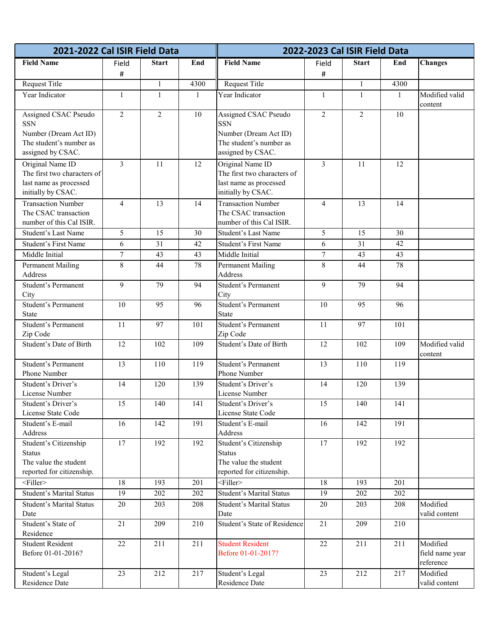| 2021-2022 Cal ISIR Field Data            |                 |                  |                  |                                          |                | 2022-2023 Cal ISIR Field Data |              |                           |
|------------------------------------------|-----------------|------------------|------------------|------------------------------------------|----------------|-------------------------------|--------------|---------------------------|
| <b>Field Name</b>                        | Field           | <b>Start</b>     | End              | <b>Field Name</b>                        | Field          | <b>Start</b>                  | End          | <b>Changes</b>            |
|                                          | $\#$            |                  |                  |                                          | #              |                               |              |                           |
| Request Title                            |                 | $\mathbf{1}$     | 4300             | Request Title                            |                | $\mathbf{1}$                  | 4300         |                           |
| Year Indicator                           | $\mathbf{1}$    | $\mathbf{1}$     | $\mathbf{1}$     | Year Indicator                           | $\mathbf{1}$   | $\mathbf{1}$                  | $\mathbf{1}$ | Modified valid<br>content |
| Assigned CSAC Pseudo<br><b>SSN</b>       | $\overline{2}$  | $\overline{2}$   | 10               | Assigned CSAC Pseudo<br><b>SSN</b>       | $\overline{2}$ | $\overline{2}$                | 10           |                           |
| Number (Dream Act ID)                    |                 |                  |                  | Number (Dream Act ID)                    |                |                               |              |                           |
| The student's number as                  |                 |                  |                  | The student's number as                  |                |                               |              |                           |
| assigned by CSAC.                        |                 |                  |                  | assigned by CSAC.                        |                |                               |              |                           |
| Original Name ID                         | $\overline{3}$  | 11               | 12               | Original Name ID                         | 3              | 11                            | 12           |                           |
| The first two characters of              |                 |                  |                  | The first two characters of              |                |                               |              |                           |
| last name as processed                   |                 |                  |                  | last name as processed                   |                |                               |              |                           |
| initially by CSAC.                       |                 |                  |                  | initially by CSAC.                       |                |                               |              |                           |
| <b>Transaction Number</b>                | $\overline{4}$  | 13               | 14               | <b>Transaction Number</b>                | $\overline{4}$ | 13                            | 14           |                           |
| The CSAC transaction                     |                 |                  |                  | The CSAC transaction                     |                |                               |              |                           |
| number of this Cal ISIR.                 |                 |                  |                  | number of this Cal ISIR.                 |                |                               |              |                           |
| <b>Student's Last Name</b>               | 5               | 15               | 30               | Student's Last Name                      | 5              | 15                            | 30           |                           |
| Student's First Name                     | 6               | 31               | 42               | Student's First Name                     | 6              | 31                            | 42           |                           |
| Middle Initial                           | $\tau$          | 43               | 43               | Middle Initial                           | $\tau$         | 43                            | 43           |                           |
| <b>Permanent Mailing</b><br>Address      | 8               | 44               | 78               | <b>Permanent Mailing</b><br>Address      | 8              | 44                            | 78           |                           |
| Student's Permanent                      | 9               | 79               | 94               | <b>Student's Permanent</b>               | 9              | 79                            | 94           |                           |
| City                                     |                 |                  |                  | City                                     |                |                               |              |                           |
| Student's Permanent                      | 10              | 95               | 96               | Student's Permanent                      | 10             | 95                            | 96           |                           |
| <b>State</b>                             |                 |                  |                  | State                                    |                |                               |              |                           |
| <b>Student's Permanent</b>               | 11              | 97               | 101              | Student's Permanent                      | 11             | 97                            | 101          |                           |
| Zip Code                                 |                 |                  |                  | Zip Code                                 |                |                               |              |                           |
| Student's Date of Birth                  | 12              | 102              | 109              | Student's Date of Birth                  | 12             | 102                           | 109          | Modified valid<br>content |
| Student's Permanent                      | 13              | 110              | 119              | Student's Permanent                      | 13             | 110                           | 119          |                           |
| Phone Number                             |                 |                  |                  | Phone Number                             |                |                               |              |                           |
| Student's Driver's                       | $\overline{14}$ | $\overline{120}$ | 139              | Student's Driver's                       | 14             | 120                           | 139          |                           |
| License Number                           |                 |                  |                  | License Number                           |                |                               |              |                           |
| Student's Driver's<br>License State Code | 15              | 140              | 141              | Student's Driver's<br>License State Code | 15             | 140                           | 141          |                           |
| Student's E-mail                         | 16              | 142              | 191              | Student's E-mail                         | 16             | 142                           | 191          |                           |
| Address                                  |                 |                  |                  | Address                                  |                |                               |              |                           |
| Student's Citizenship                    | $\overline{17}$ | 192              | 192              | Student's Citizenship                    | 17             | 192                           | 192          |                           |
| <b>Status</b>                            |                 |                  |                  | <b>Status</b>                            |                |                               |              |                           |
| The value the student                    |                 |                  |                  | The value the student                    |                |                               |              |                           |
| reported for citizenship.                |                 |                  |                  | reported for citizenship.                |                |                               |              |                           |
| $<$ Filler>                              | 18              | 193              | 201              | $<$ Filler $>$                           | 18             | 193                           | 201          |                           |
| <b>Student's Marital Status</b>          | 19              | 202              | 202              | <b>Student's Marital Status</b>          | 19             | 202                           | 202          |                           |
| <b>Student's Marital Status</b>          | $20\,$          | 203              | 208              | <b>Student's Marital Status</b>          | 20             | 203                           | 208          | Modified                  |
| Date                                     |                 |                  |                  | Date                                     |                |                               |              | valid content             |
| Student's State of<br>Residence          | $\overline{21}$ | 209              | 210              | Student's State of Residence             | 21             | 209                           | 210          |                           |
| <b>Student Resident</b>                  | $\overline{22}$ | $\overline{211}$ | $\overline{211}$ | <b>Student Resident</b>                  | 22             | 211                           | 211          | Modified                  |
| Before 01-01-2016?                       |                 |                  |                  | Before 01-01-2017?                       |                |                               |              | field name year           |
|                                          |                 |                  |                  |                                          |                |                               |              | reference                 |
| Student's Legal                          | $\overline{23}$ | 212              | 217              | Student's Legal                          | 23             | 212                           | 217          | Modified                  |
| Residence Date                           |                 |                  |                  | Residence Date                           |                |                               |              | valid content             |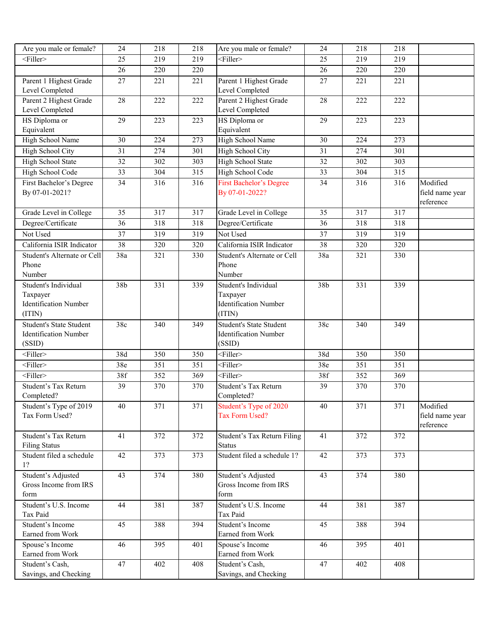| $<$ Filler><br>25<br>219<br>219<br><filler><br/>219<br/>25<br/>219<br/>26<br/>220<br/>220<br/>220<br/>26<br/>220<br/>Parent 1 Highest Grade<br/>Parent 1 Highest Grade<br/>27<br/>221<br/>221<br/>221<br/>27<br/>221<br/>Level Completed<br/>Level Completed<br/>Parent 2 Highest Grade<br/>Parent 2 Highest Grade<br/>28<br/>222<br/>222<br/>222<br/>28<br/>222<br/>Level Completed<br/>Level Completed<br/>HS Diploma or<br/>HS Diploma or<br/>29<br/>223<br/>223<br/>29<br/>223<br/>223<br/>Equivalent<br/>Equivalent<br/>30<br/>273<br/>High School Name<br/>High School Name<br/>224<br/>30<br/>224<br/>273<br/>High School City<br/>31<br/>274<br/>301<br/><b>High School City</b><br/>301<br/>31<br/>274<br/>High School State<br/><b>High School State</b><br/>32<br/>302<br/>303<br/>32<br/>302<br/>303<br/>33<br/>315<br/>315<br/>High School Code<br/>304<br/>High School Code<br/>33<br/>304<br/>Modified<br/>First Bachelor's Degree<br/>34<br/>316<br/>316<br/><b>First Bachelor's Degree</b><br/>34<br/>316<br/>316<br/>By 07-01-2021?<br/>By 07-01-2022?<br/>field name year<br/>reference<br/><math>\overline{35}</math><br/><math>\overline{317}</math><br/><math>\overline{317}</math><br/><math>\overline{317}</math><br/>Grade Level in College<br/>Grade Level in College<br/>35<br/>317<br/>Degree/Certificate<br/>36<br/>318<br/>318<br/>Degree/Certificate<br/>318<br/>36<br/>318<br/>Not Used<br/><math>\overline{37}</math><br/>319<br/>Not Used<br/>319<br/>319<br/>319<br/>37<br/>California ISIR Indicator<br/>California ISIR Indicator<br/>38<br/>320<br/>320<br/>38<br/>320<br/>320<br/>Student's Alternate or Cell<br/>38a<br/>Student's Alternate or Cell<br/>321<br/>330<br/>38a<br/>330<br/>321<br/>Phone<br/>Phone<br/>Number<br/>Number<br/>Student's Individual<br/>38b<br/>331<br/>339<br/>Student's Individual<br/>38b<br/>331<br/>339<br/>Taxpayer<br/>Taxpayer<br/><b>Identification Number</b><br/><b>Identification Number</b><br/>(ITIN)<br/>(ITIN)</filler> |
|-------------------------------------------------------------------------------------------------------------------------------------------------------------------------------------------------------------------------------------------------------------------------------------------------------------------------------------------------------------------------------------------------------------------------------------------------------------------------------------------------------------------------------------------------------------------------------------------------------------------------------------------------------------------------------------------------------------------------------------------------------------------------------------------------------------------------------------------------------------------------------------------------------------------------------------------------------------------------------------------------------------------------------------------------------------------------------------------------------------------------------------------------------------------------------------------------------------------------------------------------------------------------------------------------------------------------------------------------------------------------------------------------------------------------------------------------------------------------------------------------------------------------------------------------------------------------------------------------------------------------------------------------------------------------------------------------------------------------------------------------------------------------------------------------------------------------------------------------------------------------------------------------------------------------------------------------------------------------------------------------------------|
|                                                                                                                                                                                                                                                                                                                                                                                                                                                                                                                                                                                                                                                                                                                                                                                                                                                                                                                                                                                                                                                                                                                                                                                                                                                                                                                                                                                                                                                                                                                                                                                                                                                                                                                                                                                                                                                                                                                                                                                                             |
|                                                                                                                                                                                                                                                                                                                                                                                                                                                                                                                                                                                                                                                                                                                                                                                                                                                                                                                                                                                                                                                                                                                                                                                                                                                                                                                                                                                                                                                                                                                                                                                                                                                                                                                                                                                                                                                                                                                                                                                                             |
|                                                                                                                                                                                                                                                                                                                                                                                                                                                                                                                                                                                                                                                                                                                                                                                                                                                                                                                                                                                                                                                                                                                                                                                                                                                                                                                                                                                                                                                                                                                                                                                                                                                                                                                                                                                                                                                                                                                                                                                                             |
|                                                                                                                                                                                                                                                                                                                                                                                                                                                                                                                                                                                                                                                                                                                                                                                                                                                                                                                                                                                                                                                                                                                                                                                                                                                                                                                                                                                                                                                                                                                                                                                                                                                                                                                                                                                                                                                                                                                                                                                                             |
|                                                                                                                                                                                                                                                                                                                                                                                                                                                                                                                                                                                                                                                                                                                                                                                                                                                                                                                                                                                                                                                                                                                                                                                                                                                                                                                                                                                                                                                                                                                                                                                                                                                                                                                                                                                                                                                                                                                                                                                                             |
|                                                                                                                                                                                                                                                                                                                                                                                                                                                                                                                                                                                                                                                                                                                                                                                                                                                                                                                                                                                                                                                                                                                                                                                                                                                                                                                                                                                                                                                                                                                                                                                                                                                                                                                                                                                                                                                                                                                                                                                                             |
|                                                                                                                                                                                                                                                                                                                                                                                                                                                                                                                                                                                                                                                                                                                                                                                                                                                                                                                                                                                                                                                                                                                                                                                                                                                                                                                                                                                                                                                                                                                                                                                                                                                                                                                                                                                                                                                                                                                                                                                                             |
|                                                                                                                                                                                                                                                                                                                                                                                                                                                                                                                                                                                                                                                                                                                                                                                                                                                                                                                                                                                                                                                                                                                                                                                                                                                                                                                                                                                                                                                                                                                                                                                                                                                                                                                                                                                                                                                                                                                                                                                                             |
|                                                                                                                                                                                                                                                                                                                                                                                                                                                                                                                                                                                                                                                                                                                                                                                                                                                                                                                                                                                                                                                                                                                                                                                                                                                                                                                                                                                                                                                                                                                                                                                                                                                                                                                                                                                                                                                                                                                                                                                                             |
|                                                                                                                                                                                                                                                                                                                                                                                                                                                                                                                                                                                                                                                                                                                                                                                                                                                                                                                                                                                                                                                                                                                                                                                                                                                                                                                                                                                                                                                                                                                                                                                                                                                                                                                                                                                                                                                                                                                                                                                                             |
|                                                                                                                                                                                                                                                                                                                                                                                                                                                                                                                                                                                                                                                                                                                                                                                                                                                                                                                                                                                                                                                                                                                                                                                                                                                                                                                                                                                                                                                                                                                                                                                                                                                                                                                                                                                                                                                                                                                                                                                                             |
|                                                                                                                                                                                                                                                                                                                                                                                                                                                                                                                                                                                                                                                                                                                                                                                                                                                                                                                                                                                                                                                                                                                                                                                                                                                                                                                                                                                                                                                                                                                                                                                                                                                                                                                                                                                                                                                                                                                                                                                                             |
|                                                                                                                                                                                                                                                                                                                                                                                                                                                                                                                                                                                                                                                                                                                                                                                                                                                                                                                                                                                                                                                                                                                                                                                                                                                                                                                                                                                                                                                                                                                                                                                                                                                                                                                                                                                                                                                                                                                                                                                                             |
|                                                                                                                                                                                                                                                                                                                                                                                                                                                                                                                                                                                                                                                                                                                                                                                                                                                                                                                                                                                                                                                                                                                                                                                                                                                                                                                                                                                                                                                                                                                                                                                                                                                                                                                                                                                                                                                                                                                                                                                                             |
|                                                                                                                                                                                                                                                                                                                                                                                                                                                                                                                                                                                                                                                                                                                                                                                                                                                                                                                                                                                                                                                                                                                                                                                                                                                                                                                                                                                                                                                                                                                                                                                                                                                                                                                                                                                                                                                                                                                                                                                                             |
|                                                                                                                                                                                                                                                                                                                                                                                                                                                                                                                                                                                                                                                                                                                                                                                                                                                                                                                                                                                                                                                                                                                                                                                                                                                                                                                                                                                                                                                                                                                                                                                                                                                                                                                                                                                                                                                                                                                                                                                                             |
|                                                                                                                                                                                                                                                                                                                                                                                                                                                                                                                                                                                                                                                                                                                                                                                                                                                                                                                                                                                                                                                                                                                                                                                                                                                                                                                                                                                                                                                                                                                                                                                                                                                                                                                                                                                                                                                                                                                                                                                                             |
|                                                                                                                                                                                                                                                                                                                                                                                                                                                                                                                                                                                                                                                                                                                                                                                                                                                                                                                                                                                                                                                                                                                                                                                                                                                                                                                                                                                                                                                                                                                                                                                                                                                                                                                                                                                                                                                                                                                                                                                                             |
|                                                                                                                                                                                                                                                                                                                                                                                                                                                                                                                                                                                                                                                                                                                                                                                                                                                                                                                                                                                                                                                                                                                                                                                                                                                                                                                                                                                                                                                                                                                                                                                                                                                                                                                                                                                                                                                                                                                                                                                                             |
|                                                                                                                                                                                                                                                                                                                                                                                                                                                                                                                                                                                                                                                                                                                                                                                                                                                                                                                                                                                                                                                                                                                                                                                                                                                                                                                                                                                                                                                                                                                                                                                                                                                                                                                                                                                                                                                                                                                                                                                                             |
|                                                                                                                                                                                                                                                                                                                                                                                                                                                                                                                                                                                                                                                                                                                                                                                                                                                                                                                                                                                                                                                                                                                                                                                                                                                                                                                                                                                                                                                                                                                                                                                                                                                                                                                                                                                                                                                                                                                                                                                                             |
|                                                                                                                                                                                                                                                                                                                                                                                                                                                                                                                                                                                                                                                                                                                                                                                                                                                                                                                                                                                                                                                                                                                                                                                                                                                                                                                                                                                                                                                                                                                                                                                                                                                                                                                                                                                                                                                                                                                                                                                                             |
|                                                                                                                                                                                                                                                                                                                                                                                                                                                                                                                                                                                                                                                                                                                                                                                                                                                                                                                                                                                                                                                                                                                                                                                                                                                                                                                                                                                                                                                                                                                                                                                                                                                                                                                                                                                                                                                                                                                                                                                                             |
| <b>Student's State Student</b><br><b>Student's State Student</b><br>38c<br>340<br>349<br>349<br>38c<br>340                                                                                                                                                                                                                                                                                                                                                                                                                                                                                                                                                                                                                                                                                                                                                                                                                                                                                                                                                                                                                                                                                                                                                                                                                                                                                                                                                                                                                                                                                                                                                                                                                                                                                                                                                                                                                                                                                                  |
| <b>Identification Number</b><br><b>Identification Number</b>                                                                                                                                                                                                                                                                                                                                                                                                                                                                                                                                                                                                                                                                                                                                                                                                                                                                                                                                                                                                                                                                                                                                                                                                                                                                                                                                                                                                                                                                                                                                                                                                                                                                                                                                                                                                                                                                                                                                                |
| (SSID)<br>(SSID)                                                                                                                                                                                                                                                                                                                                                                                                                                                                                                                                                                                                                                                                                                                                                                                                                                                                                                                                                                                                                                                                                                                                                                                                                                                                                                                                                                                                                                                                                                                                                                                                                                                                                                                                                                                                                                                                                                                                                                                            |
| <filler><br/><math>\leq</math>Filler&gt;<br/>38d<br/>350<br/>350<br/>38d<br/>350<br/>350</filler>                                                                                                                                                                                                                                                                                                                                                                                                                                                                                                                                                                                                                                                                                                                                                                                                                                                                                                                                                                                                                                                                                                                                                                                                                                                                                                                                                                                                                                                                                                                                                                                                                                                                                                                                                                                                                                                                                                           |
| $\overline{\text{Filler}}$<br>$\overline{\text{Filler}}$<br>38e<br>351<br>351<br>38e<br>351<br>351                                                                                                                                                                                                                                                                                                                                                                                                                                                                                                                                                                                                                                                                                                                                                                                                                                                                                                                                                                                                                                                                                                                                                                                                                                                                                                                                                                                                                                                                                                                                                                                                                                                                                                                                                                                                                                                                                                          |
| 38f<br>352<br>369<br><filler><br/>369<br/><filler><br/>38f<br/>352</filler></filler>                                                                                                                                                                                                                                                                                                                                                                                                                                                                                                                                                                                                                                                                                                                                                                                                                                                                                                                                                                                                                                                                                                                                                                                                                                                                                                                                                                                                                                                                                                                                                                                                                                                                                                                                                                                                                                                                                                                        |
| Student's Tax Return<br>39<br>370<br>Student's Tax Return<br>370<br>370<br>39<br>370                                                                                                                                                                                                                                                                                                                                                                                                                                                                                                                                                                                                                                                                                                                                                                                                                                                                                                                                                                                                                                                                                                                                                                                                                                                                                                                                                                                                                                                                                                                                                                                                                                                                                                                                                                                                                                                                                                                        |
| Completed?<br>Completed?                                                                                                                                                                                                                                                                                                                                                                                                                                                                                                                                                                                                                                                                                                                                                                                                                                                                                                                                                                                                                                                                                                                                                                                                                                                                                                                                                                                                                                                                                                                                                                                                                                                                                                                                                                                                                                                                                                                                                                                    |
| Student's Type of 2019<br>40<br>371<br>371<br>Student's Type of 2020<br>40<br>371<br>371<br>Modified                                                                                                                                                                                                                                                                                                                                                                                                                                                                                                                                                                                                                                                                                                                                                                                                                                                                                                                                                                                                                                                                                                                                                                                                                                                                                                                                                                                                                                                                                                                                                                                                                                                                                                                                                                                                                                                                                                        |
| Tax Form Used?<br><b>Tax Form Used?</b><br>field name year                                                                                                                                                                                                                                                                                                                                                                                                                                                                                                                                                                                                                                                                                                                                                                                                                                                                                                                                                                                                                                                                                                                                                                                                                                                                                                                                                                                                                                                                                                                                                                                                                                                                                                                                                                                                                                                                                                                                                  |
| reference                                                                                                                                                                                                                                                                                                                                                                                                                                                                                                                                                                                                                                                                                                                                                                                                                                                                                                                                                                                                                                                                                                                                                                                                                                                                                                                                                                                                                                                                                                                                                                                                                                                                                                                                                                                                                                                                                                                                                                                                   |
| Student's Tax Return<br>41<br>372<br>372<br>Student's Tax Return Filing<br>41<br>372<br>372                                                                                                                                                                                                                                                                                                                                                                                                                                                                                                                                                                                                                                                                                                                                                                                                                                                                                                                                                                                                                                                                                                                                                                                                                                                                                                                                                                                                                                                                                                                                                                                                                                                                                                                                                                                                                                                                                                                 |
| <b>Filing Status</b><br><b>Status</b>                                                                                                                                                                                                                                                                                                                                                                                                                                                                                                                                                                                                                                                                                                                                                                                                                                                                                                                                                                                                                                                                                                                                                                                                                                                                                                                                                                                                                                                                                                                                                                                                                                                                                                                                                                                                                                                                                                                                                                       |
| Student filed a schedule 1?<br>Student filed a schedule<br>42<br>373<br>373<br>373<br>373<br>42<br>1?                                                                                                                                                                                                                                                                                                                                                                                                                                                                                                                                                                                                                                                                                                                                                                                                                                                                                                                                                                                                                                                                                                                                                                                                                                                                                                                                                                                                                                                                                                                                                                                                                                                                                                                                                                                                                                                                                                       |
| Student's Adjusted<br>Student's Adjusted<br>43<br>374<br>380<br>43<br>374<br>380                                                                                                                                                                                                                                                                                                                                                                                                                                                                                                                                                                                                                                                                                                                                                                                                                                                                                                                                                                                                                                                                                                                                                                                                                                                                                                                                                                                                                                                                                                                                                                                                                                                                                                                                                                                                                                                                                                                            |
| Gross Income from IRS<br>Gross Income from IRS                                                                                                                                                                                                                                                                                                                                                                                                                                                                                                                                                                                                                                                                                                                                                                                                                                                                                                                                                                                                                                                                                                                                                                                                                                                                                                                                                                                                                                                                                                                                                                                                                                                                                                                                                                                                                                                                                                                                                              |
| form<br>form                                                                                                                                                                                                                                                                                                                                                                                                                                                                                                                                                                                                                                                                                                                                                                                                                                                                                                                                                                                                                                                                                                                                                                                                                                                                                                                                                                                                                                                                                                                                                                                                                                                                                                                                                                                                                                                                                                                                                                                                |
| Student's U.S. Income<br>44<br>381<br>387<br>Student's U.S. Income<br>381<br>387<br>44                                                                                                                                                                                                                                                                                                                                                                                                                                                                                                                                                                                                                                                                                                                                                                                                                                                                                                                                                                                                                                                                                                                                                                                                                                                                                                                                                                                                                                                                                                                                                                                                                                                                                                                                                                                                                                                                                                                      |
| Tax Paid<br>Tax Paid                                                                                                                                                                                                                                                                                                                                                                                                                                                                                                                                                                                                                                                                                                                                                                                                                                                                                                                                                                                                                                                                                                                                                                                                                                                                                                                                                                                                                                                                                                                                                                                                                                                                                                                                                                                                                                                                                                                                                                                        |
| Student's Income<br>45<br>388<br>Student's Income<br>394<br>45<br>388<br>394                                                                                                                                                                                                                                                                                                                                                                                                                                                                                                                                                                                                                                                                                                                                                                                                                                                                                                                                                                                                                                                                                                                                                                                                                                                                                                                                                                                                                                                                                                                                                                                                                                                                                                                                                                                                                                                                                                                                |
| Earned from Work<br>Earned from Work<br>46<br>395<br>401<br>401<br>Spouse's Income<br>Spouse's Income<br>46<br>395                                                                                                                                                                                                                                                                                                                                                                                                                                                                                                                                                                                                                                                                                                                                                                                                                                                                                                                                                                                                                                                                                                                                                                                                                                                                                                                                                                                                                                                                                                                                                                                                                                                                                                                                                                                                                                                                                          |
| Earned from Work<br>Earned from Work                                                                                                                                                                                                                                                                                                                                                                                                                                                                                                                                                                                                                                                                                                                                                                                                                                                                                                                                                                                                                                                                                                                                                                                                                                                                                                                                                                                                                                                                                                                                                                                                                                                                                                                                                                                                                                                                                                                                                                        |
| Student's Cash,<br>47<br>402<br>408<br>Student's Cash,<br>47<br>408<br>402                                                                                                                                                                                                                                                                                                                                                                                                                                                                                                                                                                                                                                                                                                                                                                                                                                                                                                                                                                                                                                                                                                                                                                                                                                                                                                                                                                                                                                                                                                                                                                                                                                                                                                                                                                                                                                                                                                                                  |
| Savings, and Checking<br>Savings, and Checking                                                                                                                                                                                                                                                                                                                                                                                                                                                                                                                                                                                                                                                                                                                                                                                                                                                                                                                                                                                                                                                                                                                                                                                                                                                                                                                                                                                                                                                                                                                                                                                                                                                                                                                                                                                                                                                                                                                                                              |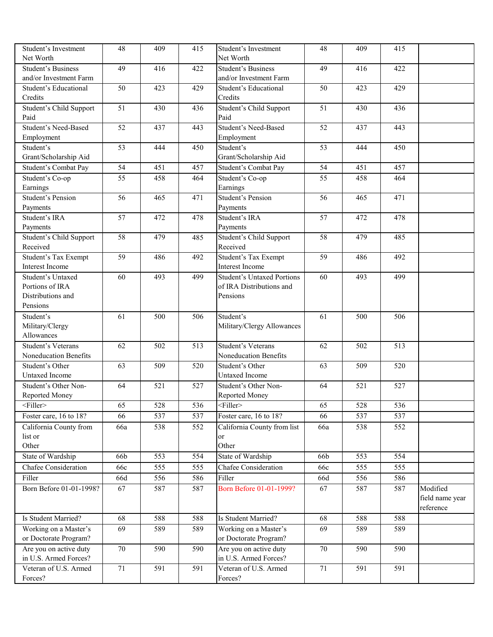| Student's Investment<br>Net Worth                   | 48              | 409 | 415              | Student's Investment<br>Net Worth                   | 48  | 409 | 415              |                              |
|-----------------------------------------------------|-----------------|-----|------------------|-----------------------------------------------------|-----|-----|------------------|------------------------------|
| <b>Student's Business</b><br>and/or Investment Farm | 49              | 416 | 422              | <b>Student's Business</b><br>and/or Investment Farm | 49  | 416 | 422              |                              |
| Student's Educational<br>Credits                    | 50              | 423 | 429              | Student's Educational<br>Credits                    | 50  | 423 | 429              |                              |
| Student's Child Support<br>Paid                     | $\overline{51}$ | 430 | 436              | Student's Child Support<br>Paid                     | 51  | 430 | 436              |                              |
| Student's Need-Based                                | 52              | 437 | 443              | <b>Student's Need-Based</b>                         | 52  | 437 | 443              |                              |
| Employment<br>Student's                             | 53              | 444 | 450              | Employment<br>Student's                             | 53  | 444 | 450              |                              |
| Grant/Scholarship Aid<br>Student's Combat Pay       | $\overline{54}$ | 451 | 457              | Grant/Scholarship Aid<br>Student's Combat Pay       | 54  | 451 | 457              |                              |
| Student's Co-op                                     | 55              | 458 | 464              | Student's Co-op                                     | 55  | 458 | 464              |                              |
| Earnings<br><b>Student's Pension</b>                | 56              | 465 | 471              | Earnings<br><b>Student's Pension</b>                | 56  | 465 | 471              |                              |
| Payments                                            |                 |     |                  | Payments                                            |     |     |                  |                              |
| Student's IRA                                       | 57              | 472 | 478              | Student's IRA                                       | 57  | 472 | 478              |                              |
| Payments                                            |                 |     |                  | Payments                                            |     |     |                  |                              |
| Student's Child Support<br>Received                 | 58              | 479 | 485              | Student's Child Support<br>Received                 | 58  | 479 | 485              |                              |
| Student's Tax Exempt<br>Interest Income             | 59              | 486 | 492              | <b>Student's Tax Exempt</b><br>Interest Income      | 59  | 486 | 492              |                              |
| Student's Untaxed                                   | 60              | 493 | 499              | <b>Student's Untaxed Portions</b>                   | 60  | 493 | 499              |                              |
| Portions of IRA                                     |                 |     |                  | of IRA Distributions and                            |     |     |                  |                              |
| Distributions and<br>Pensions                       |                 |     |                  | Pensions                                            |     |     |                  |                              |
| Student's                                           | 61              | 500 | 506              | Student's                                           | 61  | 500 | 506              |                              |
| Military/Clergy                                     |                 |     |                  | Military/Clergy Allowances                          |     |     |                  |                              |
| Allowances                                          |                 |     |                  |                                                     |     |     |                  |                              |
| Student's Veterans                                  | 62              | 502 | 513              | <b>Student's Veterans</b>                           | 62  | 502 | 513              |                              |
| Noneducation Benefits                               |                 |     |                  | Noneducation Benefits                               |     |     |                  |                              |
| Student's Other<br>Untaxed Income                   | 63              | 509 | $\overline{520}$ | Student's Other<br><b>Untaxed Income</b>            | 63  | 509 | $\overline{520}$ |                              |
| Student's Other Non-                                | 64              | 521 | 527              | Student's Other Non-                                | 64  | 521 | 527              |                              |
| Reported Money                                      |                 |     |                  | Reported Money                                      |     |     |                  |                              |
| <filler></filler>                                   | 65              | 528 | 536              | <filler></filler>                                   | 65  | 528 | 536              |                              |
| Foster care, 16 to 18?                              | 66              | 537 | 537              | Foster care, 16 to 18?                              | 66  | 537 | 537              |                              |
| California County from                              | 66a             | 538 | 552              | California County from list                         | 66a | 538 | 552              |                              |
| list or<br>Other                                    |                 |     |                  | or<br>Other                                         |     |     |                  |                              |
| State of Wardship                                   | 66b             | 553 | 554              | State of Wardship                                   | 66b | 553 | 554              |                              |
| <b>Chafee Consideration</b>                         | 66c             | 555 | 555              | <b>Chafee Consideration</b>                         | 66c | 555 | 555              |                              |
| Filler                                              | 66d             | 556 | 586              | Filler                                              | 66d | 556 | 586              |                              |
| Born Before 01-01-1998?                             | 67              | 587 | 587              | <b>Born Before 01-01-1999?</b>                      | 67  | 587 | 587              | Modified                     |
|                                                     |                 |     |                  |                                                     |     |     |                  | field name year<br>reference |
| Is Student Married?                                 | 68              | 588 | 588              | Is Student Married?                                 | 68  | 588 | 588              |                              |
| Working on a Master's                               | 69              | 589 | 589              | Working on a Master's                               | 69  | 589 | 589              |                              |
| or Doctorate Program?                               |                 |     |                  | or Doctorate Program?                               |     |     |                  |                              |
| Are you on active duty<br>in U.S. Armed Forces?     | 70              | 590 | 590              | Are you on active duty<br>in U.S. Armed Forces?     | 70  | 590 | 590              |                              |
| Veteran of U.S. Armed                               | 71              | 591 | 591              | Veteran of U.S. Armed                               | 71  | 591 | 591              |                              |
| Forces?                                             |                 |     |                  | Forces?                                             |     |     |                  |                              |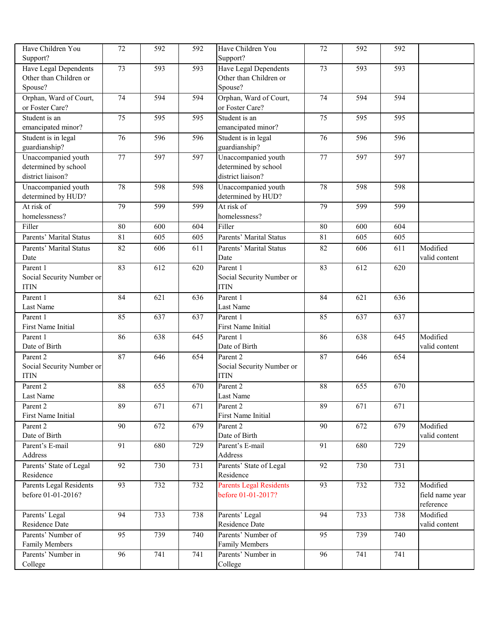| Have Children You<br>Support? | 72              | 592 | 592 | Have Children You<br>Support?  | 72              | 592 | 592 |                 |
|-------------------------------|-----------------|-----|-----|--------------------------------|-----------------|-----|-----|-----------------|
| Have Legal Dependents         | $\overline{73}$ | 593 | 593 | Have Legal Dependents          | $\overline{73}$ | 593 | 593 |                 |
| Other than Children or        |                 |     |     | Other than Children or         |                 |     |     |                 |
| Spouse?                       |                 |     |     | Spouse?                        |                 |     |     |                 |
| Orphan, Ward of Court,        | $\overline{74}$ | 594 | 594 | Orphan, Ward of Court,         | 74              | 594 | 594 |                 |
| or Foster Care?               |                 |     |     | or Foster Care?                |                 |     |     |                 |
| Student is an                 | 75              | 595 | 595 | Student is an                  | 75              | 595 | 595 |                 |
| emancipated minor?            |                 |     |     | emancipated minor?             |                 |     |     |                 |
| Student is in legal           | 76              | 596 | 596 | Student is in legal            | 76              | 596 | 596 |                 |
| guardianship?                 |                 |     |     | guardianship?                  |                 |     |     |                 |
| Unaccompanied youth           | $\overline{77}$ | 597 | 597 | Unaccompanied youth            | 77              | 597 | 597 |                 |
| determined by school          |                 |     |     | determined by school           |                 |     |     |                 |
| district liaison?             |                 |     |     | district liaison?              |                 |     |     |                 |
| Unaccompanied youth           | 78              | 598 | 598 | Unaccompanied youth            | 78              | 598 | 598 |                 |
| determined by HUD?            |                 |     |     | determined by HUD?             |                 |     |     |                 |
| At risk of                    | 79              | 599 | 599 | At risk of                     | 79              | 599 | 599 |                 |
| homelessness?                 |                 |     |     | homelessness?                  |                 |     |     |                 |
| Filler                        | 80              | 600 | 604 | Filler                         | 80              | 600 | 604 |                 |
| Parents' Marital Status       | 81              | 605 | 605 | Parents' Marital Status        | 81              | 605 | 605 |                 |
| Parents' Marital Status       | 82              | 606 | 611 | Parents' Marital Status        | 82              | 606 | 611 | Modified        |
| Date                          |                 |     |     | Date                           |                 |     |     | valid content   |
| Parent 1                      | 83              | 612 | 620 | Parent 1                       | 83              | 612 | 620 |                 |
| Social Security Number or     |                 |     |     | Social Security Number or      |                 |     |     |                 |
| <b>ITIN</b>                   |                 |     |     | <b>ITIN</b>                    |                 |     |     |                 |
| Parent 1                      | 84              | 621 | 636 | Parent 1                       | 84              | 621 | 636 |                 |
| Last Name                     |                 |     |     | Last Name                      |                 |     |     |                 |
| Parent 1                      | 85              | 637 | 637 | Parent 1                       | 85              | 637 | 637 |                 |
| First Name Initial            |                 |     |     | First Name Initial             |                 |     |     |                 |
| Parent 1                      | 86              | 638 | 645 | Parent 1                       | 86              | 638 | 645 | Modified        |
| Date of Birth                 |                 |     |     | Date of Birth                  |                 |     |     | valid content   |
| Parent 2                      | 87              | 646 | 654 | Parent 2                       | 87              | 646 | 654 |                 |
| Social Security Number or     |                 |     |     | Social Security Number or      |                 |     |     |                 |
| <b>ITIN</b>                   |                 |     |     | <b>ITIN</b>                    |                 |     |     |                 |
| Parent 2                      | 88              | 655 | 670 | Parent 2                       | 88              | 655 | 670 |                 |
| Last Name                     |                 |     |     | Last Name                      |                 |     |     |                 |
| Parent 2                      | 89              | 671 | 671 | Parent 2                       | 89              | 671 | 671 |                 |
| First Name Initial            |                 |     |     | First Name Initial             |                 |     |     |                 |
| Parent 2                      | 90              | 672 | 679 | Parent 2                       | 90              | 672 | 679 | Modified        |
| Date of Birth                 |                 |     |     | Date of Birth                  |                 |     |     | valid content   |
| Parent's E-mail               | $\overline{91}$ | 680 | 729 | Parent's E-mail                | 91              | 680 | 729 |                 |
| Address                       |                 |     |     | Address                        |                 |     |     |                 |
| Parents' State of Legal       | 92              | 730 | 731 | Parents' State of Legal        | 92              | 730 | 731 |                 |
| Residence                     |                 |     |     | Residence                      |                 |     |     |                 |
| Parents Legal Residents       | 93              | 732 | 732 | <b>Parents Legal Residents</b> | 93              | 732 | 732 | Modified        |
| before 01-01-2016?            |                 |     |     | before 01-01-2017?             |                 |     |     | field name year |
|                               |                 |     |     |                                |                 |     |     | reference       |
| Parents' Legal                | 94              | 733 | 738 | Parents' Legal                 | 94              | 733 | 738 | Modified        |
| Residence Date                |                 |     |     | Residence Date                 |                 |     |     | valid content   |
| Parents' Number of            | 95              | 739 | 740 | Parents' Number of             | 95              | 739 | 740 |                 |
| Family Members                |                 |     |     | <b>Family Members</b>          |                 |     |     |                 |
| Parents' Number in            | 96              | 741 | 741 | Parents' Number in             | 96              | 741 | 741 |                 |
| College                       |                 |     |     | College                        |                 |     |     |                 |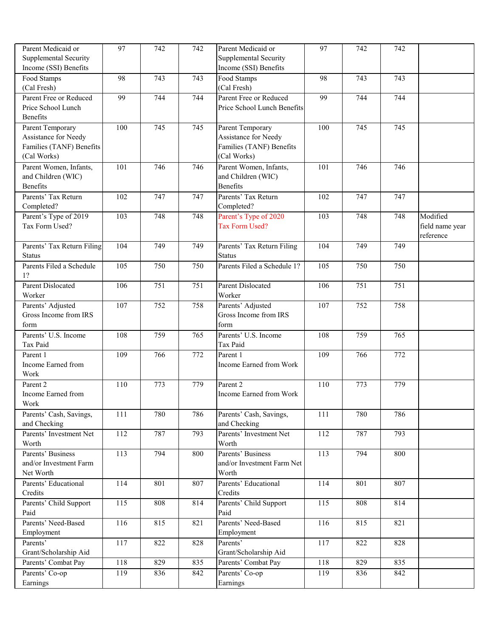| Parent Medicaid or<br><b>Supplemental Security</b><br>Income (SSI) Benefits         | 97  | 742 | 742 | Parent Medicaid or<br><b>Supplemental Security</b><br>Income (SSI) Benefits         | 97  | 742 | 742 |                                          |
|-------------------------------------------------------------------------------------|-----|-----|-----|-------------------------------------------------------------------------------------|-----|-----|-----|------------------------------------------|
| Food Stamps<br>(Cal Fresh)                                                          | 98  | 743 | 743 | Food Stamps<br>(Cal Fresh)                                                          | 98  | 743 | 743 |                                          |
| Parent Free or Reduced<br>Price School Lunch<br><b>Benefits</b>                     | 99  | 744 | 744 | Parent Free or Reduced<br>Price School Lunch Benefits                               | 99  | 744 | 744 |                                          |
| Parent Temporary<br>Assistance for Needy<br>Families (TANF) Benefits<br>(Cal Works) | 100 | 745 | 745 | Parent Temporary<br>Assistance for Needy<br>Families (TANF) Benefits<br>(Cal Works) | 100 | 745 | 745 |                                          |
| Parent Women, Infants,<br>and Children (WIC)<br><b>Benefits</b>                     | 101 | 746 | 746 | Parent Women, Infants,<br>and Children (WIC)<br><b>Benefits</b>                     | 101 | 746 | 746 |                                          |
| Parents' Tax Return<br>Completed?                                                   | 102 | 747 | 747 | Parents' Tax Return<br>Completed?                                                   | 102 | 747 | 747 |                                          |
| Parent's Type of 2019<br>Tax Form Used?                                             | 103 | 748 | 748 | Parent's Type of 2020<br>Tax Form Used?                                             | 103 | 748 | 748 | Modified<br>field name year<br>reference |
| Parents' Tax Return Filing<br><b>Status</b>                                         | 104 | 749 | 749 | Parents' Tax Return Filing<br><b>Status</b>                                         | 104 | 749 | 749 |                                          |
| Parents Filed a Schedule<br>1?                                                      | 105 | 750 | 750 | Parents Filed a Schedule 1?                                                         | 105 | 750 | 750 |                                          |
| <b>Parent Dislocated</b><br>Worker                                                  | 106 | 751 | 751 | <b>Parent Dislocated</b><br>Worker                                                  | 106 | 751 | 751 |                                          |
| Parents' Adjusted<br>Gross Income from IRS<br>form                                  | 107 | 752 | 758 | Parents' Adjusted<br>Gross Income from IRS<br>form                                  | 107 | 752 | 758 |                                          |
| Parents' U.S. Income<br>Tax Paid                                                    | 108 | 759 | 765 | Parents' U.S. Income<br>Tax Paid                                                    | 108 | 759 | 765 |                                          |
| Parent 1<br>Income Earned from<br>Work                                              | 109 | 766 | 772 | Parent 1<br>Income Earned from Work                                                 | 109 | 766 | 772 |                                          |
| Parent 2<br>Income Earned from<br>Work                                              | 110 | 773 | 779 | Parent 2<br>Income Earned from Work                                                 | 110 | 773 | 779 |                                          |
| Parents' Cash, Savings,<br>and Checking                                             | 111 | 780 | 786 | Parents' Cash, Savings,<br>and Checking                                             | 111 | 780 | 786 |                                          |
| Parents' Investment Net<br>Worth                                                    | 112 | 787 | 793 | Parents' Investment Net<br>Worth                                                    | 112 | 787 | 793 |                                          |
| Parents' Business<br>and/or Investment Farm<br>Net Worth                            | 113 | 794 | 800 | Parents' Business<br>and/or Investment Farm Net<br>Worth                            | 113 | 794 | 800 |                                          |
| Parents' Educational<br>Credits                                                     | 114 | 801 | 807 | Parents' Educational<br>Credits                                                     | 114 | 801 | 807 |                                          |
| Parents' Child Support<br>Paid                                                      | 115 | 808 | 814 | Parents' Child Support<br>Paid                                                      | 115 | 808 | 814 |                                          |
| Parents' Need-Based<br>Employment                                                   | 116 | 815 | 821 | Parents' Need-Based<br>Employment                                                   | 116 | 815 | 821 |                                          |
| Parents'<br>Grant/Scholarship Aid                                                   | 117 | 822 | 828 | Parents'<br>Grant/Scholarship Aid                                                   | 117 | 822 | 828 |                                          |
| Parents' Combat Pay                                                                 | 118 | 829 | 835 | Parents' Combat Pay                                                                 | 118 | 829 | 835 |                                          |
| Parents' Co-op<br>Earnings                                                          | 119 | 836 | 842 | Parents' Co-op<br>Earnings                                                          | 119 | 836 | 842 |                                          |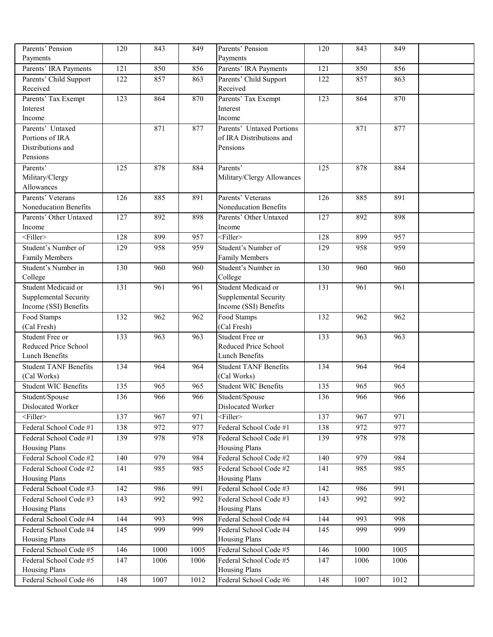| Parents' Pension                       | 120              | 843  | 849  | Parents' Pension                              | 120              | 843  | 849  |  |
|----------------------------------------|------------------|------|------|-----------------------------------------------|------------------|------|------|--|
| Payments                               |                  |      |      | Payments                                      |                  |      |      |  |
| Parents' IRA Payments                  | 121              | 850  | 856  | Parents' IRA Payments                         | 121              | 850  | 856  |  |
| Parents' Child Support                 | 122              | 857  | 863  | Parents' Child Support                        | 122              | 857  | 863  |  |
| Received                               |                  |      |      | Received                                      |                  |      |      |  |
| Parents' Tax Exempt                    | $\overline{123}$ | 864  | 870  | Parents' Tax Exempt                           | 123              | 864  | 870  |  |
| Interest                               |                  |      |      | Interest                                      |                  |      |      |  |
| Income                                 |                  |      |      | Income                                        |                  |      |      |  |
| Parents' Untaxed                       |                  | 871  | 877  | Parents' Untaxed Portions                     |                  | 871  | 877  |  |
| Portions of IRA<br>Distributions and   |                  |      |      | of IRA Distributions and<br>Pensions          |                  |      |      |  |
| Pensions                               |                  |      |      |                                               |                  |      |      |  |
| Parents'                               | $\overline{125}$ | 878  | 884  | Parents'                                      | 125              | 878  | 884  |  |
| Military/Clergy                        |                  |      |      | Military/Clergy Allowances                    |                  |      |      |  |
| Allowances                             |                  |      |      |                                               |                  |      |      |  |
| Parents' Veterans                      | 126              | 885  | 891  | Parents' Veterans                             | 126              | 885  | 891  |  |
| Noneducation Benefits                  |                  |      |      | <b>Noneducation Benefits</b>                  |                  |      |      |  |
| Parents' Other Untaxed                 | 127              | 892  | 898  | Parents' Other Untaxed                        | 127              | 892  | 898  |  |
| Income                                 |                  |      |      | Income                                        |                  |      |      |  |
| $<$ Filler $>$                         | 128              | 899  | 957  | $<$ Filler $>$                                | 128              | 899  | 957  |  |
| Student's Number of                    | 129              | 958  | 959  | Student's Number of                           | 129              | 958  | 959  |  |
| Family Members                         |                  |      |      | <b>Family Members</b>                         |                  |      |      |  |
| Student's Number in                    | 130              | 960  | 960  | Student's Number in                           | 130              | 960  | 960  |  |
| College                                |                  |      |      | College                                       |                  |      |      |  |
| Student Medicaid or                    | 131              | 961  | 961  | Student Medicaid or                           | 131              | 961  | 961  |  |
| Supplemental Security                  |                  |      |      | Supplemental Security                         |                  |      |      |  |
| Income (SSI) Benefits                  |                  |      |      | Income (SSI) Benefits                         |                  |      |      |  |
| Food Stamps                            | 132              | 962  | 962  | Food Stamps                                   | 132              | 962  | 962  |  |
| (Cal Fresh)                            |                  |      |      | (Cal Fresh)                                   |                  |      |      |  |
| Student Free or                        | 133              | 963  | 963  | Student Free or                               | $\overline{133}$ | 963  | 963  |  |
| Reduced Price School<br>Lunch Benefits |                  |      |      | Reduced Price School<br><b>Lunch Benefits</b> |                  |      |      |  |
| <b>Student TANF Benefits</b>           | 134              | 964  | 964  | <b>Student TANF Benefits</b>                  | 134              | 964  | 964  |  |
| (Cal Works)                            |                  |      |      | (Cal Works)                                   |                  |      |      |  |
| <b>Student WIC Benefits</b>            | $\overline{135}$ | 965  | 965  | <b>Student WIC Benefits</b>                   | 135              | 965  | 965  |  |
| Student/Spouse                         | 136              | 966  | 966  | Student/Spouse                                | 136              | 966  | 966  |  |
| Dislocated Worker                      |                  |      |      | Dislocated Worker                             |                  |      |      |  |
| $<$ Filler>                            | 137              | 967  | 971  | $\overline{\text{Filler}}$                    | 137              | 967  | 971  |  |
| Federal School Code #1                 | 138              | 972  | 977  | Federal School Code #1                        | 138              | 972  | 977  |  |
| Federal School Code #1                 | 139              | 978  | 978  | Federal School Code #1                        | 139              | 978  | 978  |  |
| <b>Housing Plans</b>                   |                  |      |      | <b>Housing Plans</b>                          |                  |      |      |  |
| Federal School Code #2                 | 140              | 979  | 984  | Federal School Code #2                        | 140              | 979  | 984  |  |
| Federal School Code #2                 | 141              | 985  | 985  | Federal School Code #2                        | 141              | 985  | 985  |  |
| <b>Housing Plans</b>                   |                  |      |      | <b>Housing Plans</b>                          |                  |      |      |  |
| Federal School Code #3                 | 142              | 986  | 991  | Federal School Code #3                        | 142              | 986  | 991  |  |
| Federal School Code #3                 | 143              | 992  | 992  | Federal School Code #3                        | 143              | 992  | 992  |  |
| Housing Plans                          |                  |      |      | <b>Housing Plans</b>                          |                  |      |      |  |
| Federal School Code #4                 | 144              | 993  | 998  | Federal School Code #4                        | 144              | 993  | 998  |  |
| Federal School Code #4                 | 145              | 999  | 999  | Federal School Code #4                        | 145              | 999  | 999  |  |
| Housing Plans                          |                  |      |      | <b>Housing Plans</b>                          |                  |      |      |  |
| Federal School Code #5                 | 146              | 1000 | 1005 | Federal School Code #5                        | 146              | 1000 | 1005 |  |
| Federal School Code #5                 | 147              | 1006 | 1006 | Federal School Code #5                        | 147              | 1006 | 1006 |  |
| Housing Plans                          |                  |      |      | <b>Housing Plans</b>                          |                  |      |      |  |
| Federal School Code #6                 | 148              | 1007 | 1012 | Federal School Code #6                        | 148              | 1007 | 1012 |  |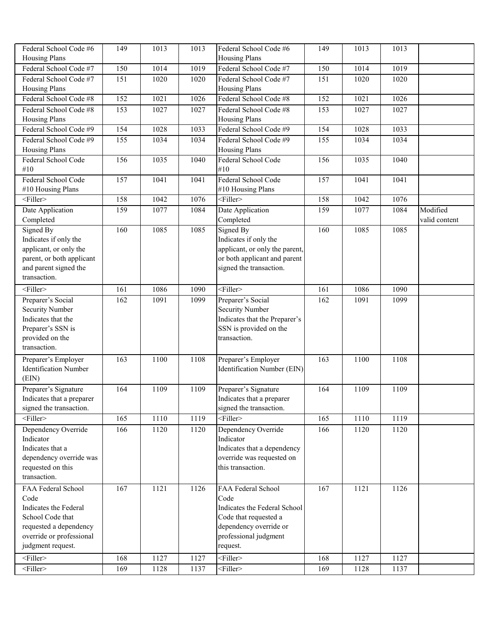| Federal School Code #6                         | 149              | 1013             | 1013 | Federal School Code #6                         | 149              | 1013             | 1013 |               |
|------------------------------------------------|------------------|------------------|------|------------------------------------------------|------------------|------------------|------|---------------|
| <b>Housing Plans</b>                           |                  |                  |      | <b>Housing Plans</b>                           |                  |                  |      |               |
| Federal School Code #7                         | $\overline{150}$ | 1014             | 1019 | Federal School Code #7                         | 150              | 1014             | 1019 |               |
| Federal School Code #7<br><b>Housing Plans</b> | 151              | 1020             | 1020 | Federal School Code #7<br><b>Housing Plans</b> | 151              | 1020             | 1020 |               |
| Federal School Code #8                         | 152              | 1021             | 1026 | Federal School Code #8                         | 152              | $\frac{1021}{2}$ | 1026 |               |
| Federal School Code #8                         | 153              | 1027             | 1027 | Federal School Code #8                         | 153              | 1027             | 1027 |               |
| <b>Housing Plans</b>                           |                  |                  |      | <b>Housing Plans</b>                           |                  |                  |      |               |
| Federal School Code #9                         | 154              | 1028             | 1033 | Federal School Code #9                         | 154              | 1028             | 1033 |               |
| Federal School Code #9<br><b>Housing Plans</b> | 155              | 1034             | 1034 | Federal School Code #9<br><b>Housing Plans</b> | 155              | 1034             | 1034 |               |
| Federal School Code<br>#10                     | 156              | 1035             | 1040 | Federal School Code<br>#10                     | 156              | 1035             | 1040 |               |
| Federal School Code                            | 157              | 1041             | 1041 | Federal School Code                            | 157              | 1041             | 1041 |               |
| #10 Housing Plans                              |                  |                  |      | #10 Housing Plans                              |                  |                  |      |               |
| $<$ Filler>                                    | 158              | 1042             | 1076 | $<$ Filler>                                    | 158              | 1042             | 1076 |               |
| Date Application                               | 159              | 1077             | 1084 | Date Application                               | 159              | 1077             | 1084 | Modified      |
| Completed                                      |                  |                  |      | Completed                                      |                  |                  |      | valid content |
| Signed By                                      | 160              | 1085             | 1085 | Signed By                                      | 160              | 1085             | 1085 |               |
| Indicates if only the                          |                  |                  |      | Indicates if only the                          |                  |                  |      |               |
| applicant, or only the                         |                  |                  |      | applicant, or only the parent,                 |                  |                  |      |               |
| parent, or both applicant                      |                  |                  |      | or both applicant and parent                   |                  |                  |      |               |
| and parent signed the                          |                  |                  |      | signed the transaction.                        |                  |                  |      |               |
| transaction.                                   |                  |                  |      |                                                |                  |                  |      |               |
| $<$ Filler $>$                                 | 161              | 1086             | 1090 | <filler></filler>                              | 161              | 1086             | 1090 |               |
| Preparer's Social                              | 162              | 1091             | 1099 | Preparer's Social                              | 162              | 1091             | 1099 |               |
| <b>Security Number</b>                         |                  |                  |      | <b>Security Number</b>                         |                  |                  |      |               |
| Indicates that the                             |                  |                  |      | Indicates that the Preparer's                  |                  |                  |      |               |
| Preparer's SSN is                              |                  |                  |      | SSN is provided on the                         |                  |                  |      |               |
| provided on the                                |                  |                  |      | transaction.                                   |                  |                  |      |               |
| transaction.                                   |                  |                  |      |                                                |                  |                  |      |               |
| Preparer's Employer                            | 163              | 1100             | 1108 | Preparer's Employer                            | 163              | 1100             | 1108 |               |
| <b>Identification Number</b>                   |                  |                  |      | Identification Number (EIN)                    |                  |                  |      |               |
| (EIN)                                          |                  |                  |      |                                                |                  |                  |      |               |
| Preparer's Signature                           | 164              | 1109             | 1109 | Preparer's Signature                           | 164              | 1109             | 1109 |               |
| Indicates that a preparer                      |                  |                  |      | Indicates that a preparer                      |                  |                  |      |               |
| signed the transaction.                        |                  |                  |      | signed the transaction.                        |                  |                  |      |               |
| $<$ Filler>                                    | $\overline{165}$ | $\frac{1110}{2}$ | 1119 | <filler></filler>                              | $\overline{165}$ | 1110             | 1119 |               |
| Dependency Override<br>Indicator               | 166              | 1120             | 1120 | Dependency Override<br>Indicator               | 166              | 1120             | 1120 |               |
| Indicates that a                               |                  |                  |      | Indicates that a dependency                    |                  |                  |      |               |
| dependency override was                        |                  |                  |      | override was requested on                      |                  |                  |      |               |
| requested on this                              |                  |                  |      | this transaction.                              |                  |                  |      |               |
| transaction.                                   |                  |                  |      |                                                |                  |                  |      |               |
| FAA Federal School                             | 167              | 1121             | 1126 | FAA Federal School                             | 167              | 1121             | 1126 |               |
| Code                                           |                  |                  |      | Code                                           |                  |                  |      |               |
| Indicates the Federal                          |                  |                  |      | Indicates the Federal School                   |                  |                  |      |               |
| School Code that                               |                  |                  |      | Code that requested a                          |                  |                  |      |               |
| requested a dependency                         |                  |                  |      | dependency override or                         |                  |                  |      |               |
| override or professional                       |                  |                  |      | professional judgment                          |                  |                  |      |               |
| judgment request.                              |                  |                  |      | request.                                       |                  |                  |      |               |
| $<$ Filler>                                    | 168              | 1127             | 1127 | $<$ Filler>                                    | 168              | 1127             | 1127 |               |
| $<$ Filler>                                    | 169              | 1128             | 1137 | <filler></filler>                              | 169              | 1128             | 1137 |               |
|                                                |                  |                  |      |                                                |                  |                  |      |               |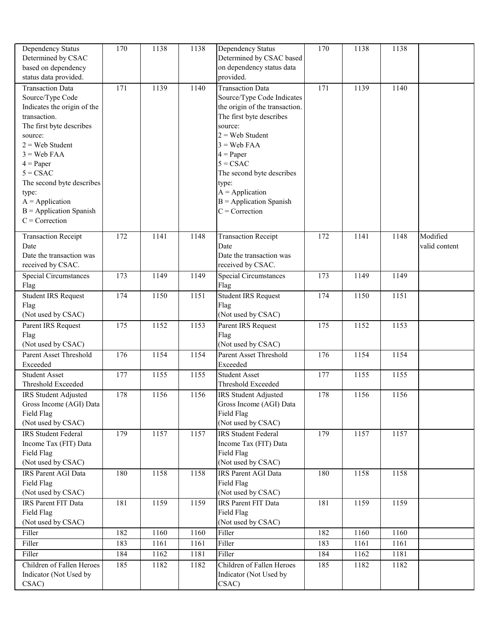| Dependency Status                   | 170 | 1138 | 1138 | Dependency Status                      | 170 | 1138 | 1138 |               |
|-------------------------------------|-----|------|------|----------------------------------------|-----|------|------|---------------|
| Determined by CSAC                  |     |      |      | Determined by CSAC based               |     |      |      |               |
| based on dependency                 |     |      |      | on dependency status data<br>provided. |     |      |      |               |
| status data provided.               |     |      |      |                                        |     |      |      |               |
| <b>Transaction Data</b>             | 171 | 1139 | 1140 | <b>Transaction Data</b>                | 171 | 1139 | 1140 |               |
| Source/Type Code                    |     |      |      | Source/Type Code Indicates             |     |      |      |               |
| Indicates the origin of the         |     |      |      | the origin of the transaction.         |     |      |      |               |
| transaction.                        |     |      |      | The first byte describes<br>source:    |     |      |      |               |
| The first byte describes<br>source: |     |      |      | $2 =$ Web Student                      |     |      |      |               |
| $2 =$ Web Student                   |     |      |      | $3 =$ Web FAA                          |     |      |      |               |
| $3 =$ Web FAA                       |     |      |      | $4 = Paper$                            |     |      |      |               |
| $4 = Paper$                         |     |      |      | $5 = CSAC$                             |     |      |      |               |
| $5 = CSAC$                          |     |      |      | The second byte describes              |     |      |      |               |
| The second byte describes           |     |      |      | type:                                  |     |      |      |               |
| type:                               |     |      |      | $A = Application$                      |     |      |      |               |
| $A = Application$                   |     |      |      | $B =$ Application Spanish              |     |      |      |               |
| $B =$ Application Spanish           |     |      |      | $C =$ Correction                       |     |      |      |               |
| $C =$ Correction                    |     |      |      |                                        |     |      |      |               |
| <b>Transaction Receipt</b>          | 172 | 1141 | 1148 | <b>Transaction Receipt</b>             | 172 | 1141 | 1148 | Modified      |
| Date                                |     |      |      | Date                                   |     |      |      | valid content |
| Date the transaction was            |     |      |      | Date the transaction was               |     |      |      |               |
| received by CSAC.                   |     |      |      | received by CSAC.                      |     |      |      |               |
| <b>Special Circumstances</b>        | 173 | 1149 | 1149 | Special Circumstances                  | 173 | 1149 | 1149 |               |
| Flag                                |     |      |      | Flag                                   |     |      |      |               |
| <b>Student IRS Request</b>          | 174 | 1150 | 1151 | <b>Student IRS Request</b>             | 174 | 1150 | 1151 |               |
| Flag                                |     |      |      | Flag                                   |     |      |      |               |
| (Not used by CSAC)                  |     |      |      | (Not used by CSAC)                     |     |      |      |               |
| Parent IRS Request                  | 175 | 1152 | 1153 | Parent IRS Request                     | 175 | 1152 | 1153 |               |
| Flag<br>(Not used by CSAC)          |     |      |      | Flag<br>(Not used by CSAC)             |     |      |      |               |
| Parent Asset Threshold              | 176 | 1154 | 1154 | Parent Asset Threshold                 | 176 | 1154 | 1154 |               |
| Exceeded                            |     |      |      | Exceeded                               |     |      |      |               |
| <b>Student Asset</b>                | 177 | 1155 | 1155 | <b>Student Asset</b>                   | 177 | 1155 | 1155 |               |
| Threshold Exceeded                  |     |      |      | Threshold Exceeded                     |     |      |      |               |
| IRS Student Adjusted                | 178 | 1156 | 1156 | <b>IRS Student Adjusted</b>            | 178 | 1156 | 1156 |               |
| Gross Income (AGI) Data             |     |      |      | Gross Income (AGI) Data                |     |      |      |               |
| Field Flag                          |     |      |      | Field Flag                             |     |      |      |               |
| (Not used by CSAC)                  |     |      |      | (Not used by CSAC)                     |     |      |      |               |
| <b>IRS</b> Student Federal          | 179 | 1157 | 1157 | <b>IRS</b> Student Federal             | 179 | 1157 | 1157 |               |
| Income Tax (FIT) Data               |     |      |      | Income Tax (FIT) Data                  |     |      |      |               |
| Field Flag                          |     |      |      | Field Flag                             |     |      |      |               |
| (Not used by CSAC)                  |     |      |      | (Not used by CSAC)                     |     |      |      |               |
| <b>IRS Parent AGI Data</b>          | 180 | 1158 | 1158 | IRS Parent AGI Data<br>Field Flag      | 180 | 1158 | 1158 |               |
| Field Flag<br>(Not used by CSAC)    |     |      |      | (Not used by CSAC)                     |     |      |      |               |
| <b>IRS</b> Parent FIT Data          | 181 | 1159 | 1159 | <b>IRS</b> Parent FIT Data             | 181 | 1159 | 1159 |               |
| Field Flag                          |     |      |      | Field Flag                             |     |      |      |               |
| (Not used by CSAC)                  |     |      |      | (Not used by CSAC)                     |     |      |      |               |
| Filler                              | 182 | 1160 | 1160 | Filler                                 | 182 | 1160 | 1160 |               |
| Filler                              | 183 | 1161 | 1161 | Filler                                 | 183 | 1161 | 1161 |               |
| Filler                              | 184 | 1162 | 1181 | Filler                                 | 184 | 1162 | 1181 |               |
| Children of Fallen Heroes           | 185 | 1182 | 1182 | Children of Fallen Heroes              | 185 | 1182 | 1182 |               |
| Indicator (Not Used by              |     |      |      | Indicator (Not Used by                 |     |      |      |               |
| CSAC)                               |     |      |      | CSAC)                                  |     |      |      |               |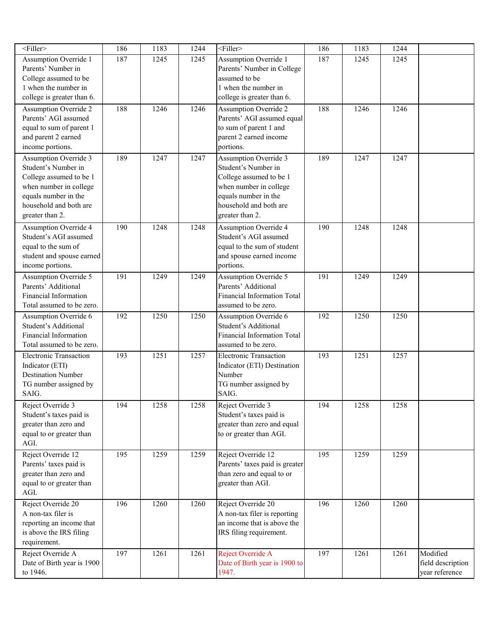| <filler></filler>                                 | 186 | 1183 | 1244 | $<$ Filler $>$                                   | 186 | 1183 | 1244 |                   |
|---------------------------------------------------|-----|------|------|--------------------------------------------------|-----|------|------|-------------------|
| Assumption Override 1                             | 187 | 1245 | 1245 | Assumption Override 1                            | 187 | 1245 | 1245 |                   |
| Parents' Number in                                |     |      |      | Parents' Number in College                       |     |      |      |                   |
| College assumed to be                             |     |      |      | assumed to be                                    |     |      |      |                   |
| 1 when the number in                              |     |      |      | 1 when the number in                             |     |      |      |                   |
| college is greater than 6.                        |     |      |      | college is greater than 6.                       |     |      |      |                   |
| Assumption Override 2                             | 188 | 1246 | 1246 | <b>Assumption Override 2</b>                     | 188 | 1246 | 1246 |                   |
| Parents' AGI assumed                              |     |      |      | Parents' AGI assumed equal                       |     |      |      |                   |
| equal to sum of parent 1<br>and parent 2 earned   |     |      |      | to sum of parent 1 and<br>parent 2 earned income |     |      |      |                   |
| income portions.                                  |     |      |      | portions.                                        |     |      |      |                   |
| Assumption Override 3                             | 189 | 1247 | 1247 | <b>Assumption Override 3</b>                     | 189 | 1247 | 1247 |                   |
| Student's Number in                               |     |      |      | Student's Number in                              |     |      |      |                   |
| College assumed to be 1                           |     |      |      | College assumed to be 1                          |     |      |      |                   |
| when number in college                            |     |      |      | when number in college                           |     |      |      |                   |
| equals number in the                              |     |      |      | equals number in the                             |     |      |      |                   |
| household and both are                            |     |      |      | household and both are                           |     |      |      |                   |
| greater than 2.                                   |     |      |      | greater than 2.                                  |     |      |      |                   |
| <b>Assumption Override 4</b>                      | 190 | 1248 | 1248 | <b>Assumption Override 4</b>                     | 190 | 1248 | 1248 |                   |
| Student's AGI assumed                             |     |      |      | Student's AGI assumed                            |     |      |      |                   |
| equal to the sum of                               |     |      |      | equal to the sum of student                      |     |      |      |                   |
| student and spouse earned                         |     |      |      | and spouse earned income                         |     |      |      |                   |
| income portions.                                  |     |      |      | portions.                                        |     |      |      |                   |
| <b>Assumption Override 5</b>                      | 191 | 1249 | 1249 | <b>Assumption Override 5</b>                     | 191 | 1249 | 1249 |                   |
| Parents' Additional                               |     |      |      | Parents' Additional                              |     |      |      |                   |
| Financial Information                             |     |      |      | <b>Financial Information Total</b>               |     |      |      |                   |
| Total assumed to be zero.                         |     |      |      | assumed to be zero.                              |     |      |      |                   |
| Assumption Override 6<br>Student's Additional     | 192 | 1250 | 1250 | Assumption Override 6<br>Student's Additional    | 192 | 1250 | 1250 |                   |
| Financial Information                             |     |      |      | <b>Financial Information Total</b>               |     |      |      |                   |
| Total assumed to be zero.                         |     |      |      | assumed to be zero.                              |     |      |      |                   |
| <b>Electronic Transaction</b>                     | 193 | 1251 | 1257 | <b>Electronic Transaction</b>                    | 193 | 1251 | 1257 |                   |
| Indicator (ETI)                                   |     |      |      | Indicator (ETI) Destination                      |     |      |      |                   |
| <b>Destination Number</b>                         |     |      |      | Number                                           |     |      |      |                   |
| TG number assigned by                             |     |      |      | TG number assigned by                            |     |      |      |                   |
| SAIG.                                             |     |      |      | SAIG.                                            |     |      |      |                   |
| Reject Override 3                                 | 194 | 1258 | 1258 | Reject Override 3                                | 194 | 1258 | 1258 |                   |
| Student's taxes paid is                           |     |      |      | Student's taxes paid is                          |     |      |      |                   |
| greater than zero and                             |     |      |      | greater than zero and equal                      |     |      |      |                   |
| equal to or greater than                          |     |      |      | to or greater than AGI.                          |     |      |      |                   |
| AGI.                                              |     |      |      |                                                  |     |      |      |                   |
| Reject Override 12                                | 195 | 1259 | 1259 | Reject Override 12                               | 195 | 1259 | 1259 |                   |
| Parents' taxes paid is                            |     |      |      | Parents' taxes paid is greater                   |     |      |      |                   |
| greater than zero and<br>equal to or greater than |     |      |      | than zero and equal to or<br>greater than AGI.   |     |      |      |                   |
| AGI.                                              |     |      |      |                                                  |     |      |      |                   |
| Reject Override 20                                | 196 | 1260 | 1260 | Reject Override 20                               | 196 | 1260 | 1260 |                   |
| A non-tax filer is                                |     |      |      | A non-tax filer is reporting                     |     |      |      |                   |
| reporting an income that                          |     |      |      | an income that is above the                      |     |      |      |                   |
| is above the IRS filing                           |     |      |      | IRS filing requirement.                          |     |      |      |                   |
| requirement.                                      |     |      |      |                                                  |     |      |      |                   |
| Reject Override A                                 | 197 | 1261 | 1261 | Reject Override A                                | 197 | 1261 | 1261 | Modified          |
| Date of Birth year is 1900                        |     |      |      | Date of Birth year is 1900 to                    |     |      |      | field description |
| to 1946.                                          |     |      |      | 1947.                                            |     |      |      | year reference    |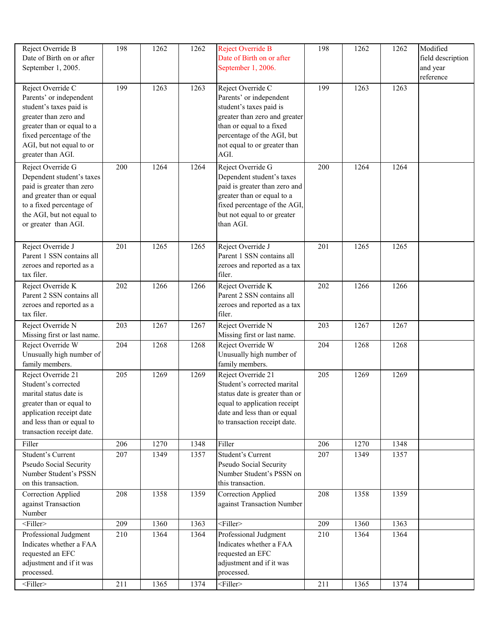| Reject Override B<br>Date of Birth on or after<br>September 1, 2005.                                                                                                                                       | 198              | 1262 | 1262 | Reject Override B<br>Date of Birth on or after<br>September 1, 2006.                                                                                                                                       | 198 | 1262 | 1262 | Modified<br>field description<br>and year<br>reference |
|------------------------------------------------------------------------------------------------------------------------------------------------------------------------------------------------------------|------------------|------|------|------------------------------------------------------------------------------------------------------------------------------------------------------------------------------------------------------------|-----|------|------|--------------------------------------------------------|
| Reject Override C<br>Parents' or independent<br>student's taxes paid is<br>greater than zero and<br>greater than or equal to a<br>fixed percentage of the<br>AGI, but not equal to or<br>greater than AGI. | 199              | 1263 | 1263 | Reject Override C<br>Parents' or independent<br>student's taxes paid is<br>greater than zero and greater<br>than or equal to a fixed<br>percentage of the AGI, but<br>not equal to or greater than<br>AGI. | 199 | 1263 | 1263 |                                                        |
| Reject Override G<br>Dependent student's taxes<br>paid is greater than zero<br>and greater than or equal<br>to a fixed percentage of<br>the AGI, but not equal to<br>or greater than AGI.                  | 200              | 1264 | 1264 | Reject Override G<br>Dependent student's taxes<br>paid is greater than zero and<br>greater than or equal to a<br>fixed percentage of the AGI,<br>but not equal to or greater<br>than AGI.                  | 200 | 1264 | 1264 |                                                        |
| Reject Override J<br>Parent 1 SSN contains all<br>zeroes and reported as a<br>tax filer.                                                                                                                   | 201              | 1265 | 1265 | Reject Override J<br>Parent 1 SSN contains all<br>zeroes and reported as a tax<br>filer.                                                                                                                   | 201 | 1265 | 1265 |                                                        |
| Reject Override K<br>Parent 2 SSN contains all<br>zeroes and reported as a<br>tax filer.                                                                                                                   | 202              | 1266 | 1266 | Reject Override K<br>Parent 2 SSN contains all<br>zeroes and reported as a tax<br>filer.                                                                                                                   | 202 | 1266 | 1266 |                                                        |
| Reject Override N<br>Missing first or last name.                                                                                                                                                           | 203              | 1267 | 1267 | Reject Override N<br>Missing first or last name.                                                                                                                                                           | 203 | 1267 | 1267 |                                                        |
| Reject Override W<br>Unusually high number of<br>family members.                                                                                                                                           | 204              | 1268 | 1268 | Reject Override W<br>Unusually high number of<br>family members.                                                                                                                                           | 204 | 1268 | 1268 |                                                        |
| Reject Override 21<br>Student's corrected<br>marital status date is<br>greater than or equal to<br>application receipt date<br>and less than or equal to<br>transaction receipt date.                      | 205              | 1269 | 1269 | Reject Override 21<br>Student's corrected marital<br>status date is greater than or<br>equal to application receipt<br>date and less than or equal<br>to transaction receipt date.                         | 205 | 1269 | 1269 |                                                        |
| Filler                                                                                                                                                                                                     | 206              | 1270 | 1348 | Filler                                                                                                                                                                                                     | 206 | 1270 | 1348 |                                                        |
| Student's Current<br>Pseudo Social Security<br>Number Student's PSSN<br>on this transaction.                                                                                                               | 207              | 1349 | 1357 | Student's Current<br>Pseudo Social Security<br>Number Student's PSSN on<br>this transaction.                                                                                                               | 207 | 1349 | 1357 |                                                        |
| Correction Applied<br>against Transaction<br>Number                                                                                                                                                        | 208              | 1358 | 1359 | Correction Applied<br>against Transaction Number                                                                                                                                                           | 208 | 1358 | 1359 |                                                        |
| $\overline{\text{Filler}}$                                                                                                                                                                                 | $\overline{209}$ | 1360 | 1363 | $\overline{\text{Filler}}$                                                                                                                                                                                 | 209 | 1360 | 1363 |                                                        |
| Professional Judgment<br>Indicates whether a FAA<br>requested an EFC<br>adjustment and if it was<br>processed.                                                                                             | 210              | 1364 | 1364 | Professional Judgment<br>Indicates whether a FAA<br>requested an EFC<br>adjustment and if it was<br>processed.                                                                                             | 210 | 1364 | 1364 |                                                        |
| $<$ Filler>                                                                                                                                                                                                | 211              | 1365 | 1374 | <filler></filler>                                                                                                                                                                                          | 211 | 1365 | 1374 |                                                        |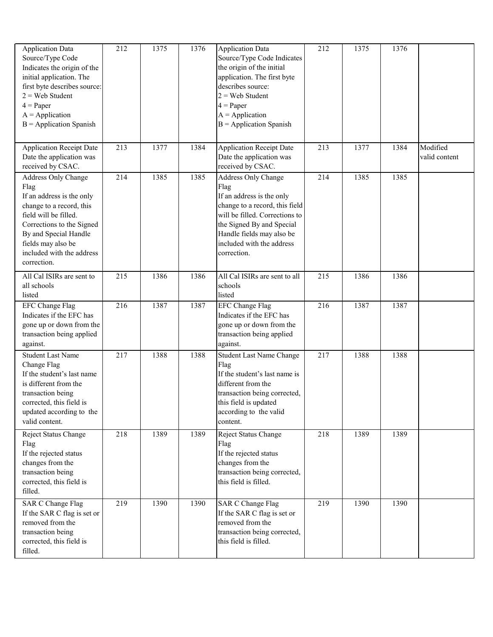| <b>Application Data</b><br>Source/Type Code<br>Indicates the origin of the<br>initial application. The<br>first byte describes source:<br>$2 =$ Web Student<br>$4 = Paper$<br>$A = Application$<br>$B =$ Application Spanish          | 212 | 1375 | 1376 | <b>Application Data</b><br>Source/Type Code Indicates<br>the origin of the initial<br>application. The first byte<br>describes source:<br>$2 =$ Web Student<br>$4 = Paper$<br>$A = Application$<br>$B =$ Application Spanish       | 212 | 1375 | 1376 |                           |
|---------------------------------------------------------------------------------------------------------------------------------------------------------------------------------------------------------------------------------------|-----|------|------|------------------------------------------------------------------------------------------------------------------------------------------------------------------------------------------------------------------------------------|-----|------|------|---------------------------|
| <b>Application Receipt Date</b><br>Date the application was<br>received by CSAC.                                                                                                                                                      | 213 | 1377 | 1384 | <b>Application Receipt Date</b><br>Date the application was<br>received by CSAC.                                                                                                                                                   | 213 | 1377 | 1384 | Modified<br>valid content |
| Address Only Change<br>Flag<br>If an address is the only<br>change to a record, this<br>field will be filled.<br>Corrections to the Signed<br>By and Special Handle<br>fields may also be<br>included with the address<br>correction. | 214 | 1385 | 1385 | Address Only Change<br>Flag<br>If an address is the only<br>change to a record, this field<br>will be filled. Corrections to<br>the Signed By and Special<br>Handle fields may also be<br>included with the address<br>correction. | 214 | 1385 | 1385 |                           |
| All Cal ISIRs are sent to<br>all schools<br>listed                                                                                                                                                                                    | 215 | 1386 | 1386 | All Cal ISIRs are sent to all<br>schools<br>listed                                                                                                                                                                                 | 215 | 1386 | 1386 |                           |
| <b>EFC</b> Change Flag<br>Indicates if the EFC has<br>gone up or down from the<br>transaction being applied<br>against.                                                                                                               | 216 | 1387 | 1387 | <b>EFC Change Flag</b><br>Indicates if the EFC has<br>gone up or down from the<br>transaction being applied<br>against.                                                                                                            | 216 | 1387 | 1387 |                           |
| <b>Student Last Name</b><br>Change Flag<br>If the student's last name<br>is different from the<br>transaction being<br>corrected, this field is<br>updated according to the<br>valid content.                                         | 217 | 1388 | 1388 | <b>Student Last Name Change</b><br>Flag<br>If the student's last name is<br>different from the<br>transaction being corrected,<br>this field is updated<br>according to the valid<br>content.                                      | 217 | 1388 | 1388 |                           |
| Reject Status Change<br>Flag<br>If the rejected status<br>changes from the<br>transaction being<br>corrected, this field is<br>filled.                                                                                                | 218 | 1389 | 1389 | Reject Status Change<br>Flag<br>If the rejected status<br>changes from the<br>transaction being corrected,<br>this field is filled.                                                                                                | 218 | 1389 | 1389 |                           |
| <b>SAR C Change Flag</b><br>If the SAR C flag is set or<br>removed from the<br>transaction being<br>corrected, this field is<br>filled.                                                                                               | 219 | 1390 | 1390 | <b>SAR C Change Flag</b><br>If the SAR C flag is set or<br>removed from the<br>transaction being corrected,<br>this field is filled.                                                                                               | 219 | 1390 | 1390 |                           |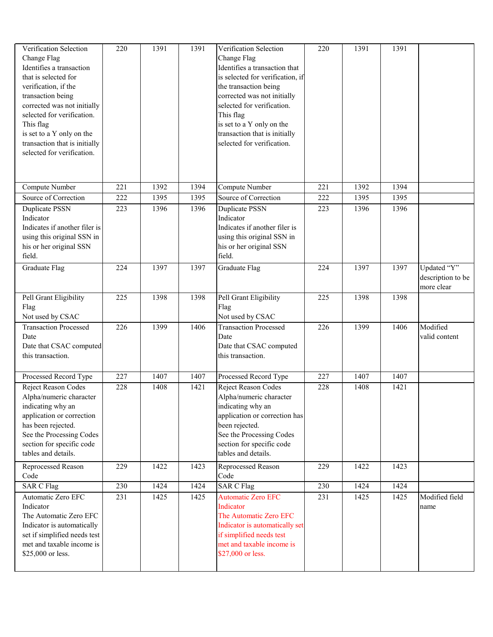| Verification Selection<br>Change Flag<br>Identifies a transaction<br>that is selected for<br>verification, if the<br>transaction being<br>corrected was not initially<br>selected for verification.<br>This flag<br>is set to a Y only on the<br>transaction that is initially<br>selected for verification. | 220 | 1391 | 1391 | Verification Selection<br>Change Flag<br>Identifies a transaction that<br>is selected for verification, if<br>the transaction being<br>corrected was not initially<br>selected for verification.<br>This flag<br>is set to a Y only on the<br>transaction that is initially<br>selected for verification. | 220 | 1391 | 1391 |                                                |
|--------------------------------------------------------------------------------------------------------------------------------------------------------------------------------------------------------------------------------------------------------------------------------------------------------------|-----|------|------|-----------------------------------------------------------------------------------------------------------------------------------------------------------------------------------------------------------------------------------------------------------------------------------------------------------|-----|------|------|------------------------------------------------|
| Compute Number                                                                                                                                                                                                                                                                                               | 221 | 1392 | 1394 | Compute Number                                                                                                                                                                                                                                                                                            | 221 | 1392 | 1394 |                                                |
| Source of Correction                                                                                                                                                                                                                                                                                         | 222 | 1395 | 1395 | Source of Correction                                                                                                                                                                                                                                                                                      | 222 | 1395 | 1395 |                                                |
| Duplicate PSSN<br>Indicator<br>Indicates if another filer is<br>using this original SSN in<br>his or her original SSN<br>field.                                                                                                                                                                              | 223 | 1396 | 1396 | Duplicate PSSN<br>Indicator<br>Indicates if another filer is<br>using this original SSN in<br>his or her original SSN<br>field.                                                                                                                                                                           | 223 | 1396 | 1396 |                                                |
| Graduate Flag                                                                                                                                                                                                                                                                                                | 224 | 1397 | 1397 | <b>Graduate Flag</b>                                                                                                                                                                                                                                                                                      | 224 | 1397 | 1397 | Updated "Y"<br>description to be<br>more clear |
| Pell Grant Eligibility<br>Flag<br>Not used by CSAC                                                                                                                                                                                                                                                           | 225 | 1398 | 1398 | Pell Grant Eligibility<br>Flag<br>Not used by CSAC                                                                                                                                                                                                                                                        | 225 | 1398 | 1398 |                                                |
| <b>Transaction Processed</b><br>Date<br>Date that CSAC computed<br>this transaction.                                                                                                                                                                                                                         | 226 | 1399 | 1406 | <b>Transaction Processed</b><br>Date<br>Date that CSAC computed<br>this transaction.                                                                                                                                                                                                                      | 226 | 1399 | 1406 | Modified<br>valid content                      |
| Processed Record Type                                                                                                                                                                                                                                                                                        | 227 | 1407 | 1407 | Processed Record Type                                                                                                                                                                                                                                                                                     | 227 | 1407 | 1407 |                                                |
| Reject Reason Codes<br>Alpha/numeric character<br>indicating why an<br>application or correction<br>has been rejected.<br>See the Processing Codes<br>section for specific code<br>tables and details.                                                                                                       | 228 | 1408 | 1421 | Reject Reason Codes<br>Alpha/numeric character<br>indicating why an<br>application or correction has<br>been rejected.<br>See the Processing Codes<br>section for specific code<br>tables and details.                                                                                                    | 228 | 1408 | 1421 |                                                |
| Reprocessed Reason<br>Code                                                                                                                                                                                                                                                                                   | 229 | 1422 | 1423 | Reprocessed Reason<br>Code                                                                                                                                                                                                                                                                                | 229 | 1422 | 1423 |                                                |
| <b>SAR C Flag</b>                                                                                                                                                                                                                                                                                            | 230 | 1424 | 1424 | <b>SAR C Flag</b>                                                                                                                                                                                                                                                                                         | 230 | 1424 | 1424 |                                                |
| Automatic Zero EFC<br>Indicator<br>The Automatic Zero EFC<br>Indicator is automatically<br>set if simplified needs test<br>met and taxable income is<br>\$25,000 or less.                                                                                                                                    | 231 | 1425 | 1425 | <b>Automatic Zero EFC</b><br>Indicator<br>The Automatic Zero EFC<br>Indicator is automatically set<br>if simplified needs test<br>met and taxable income is<br>\$27,000 or less.                                                                                                                          | 231 | 1425 | 1425 | Modified field<br>name                         |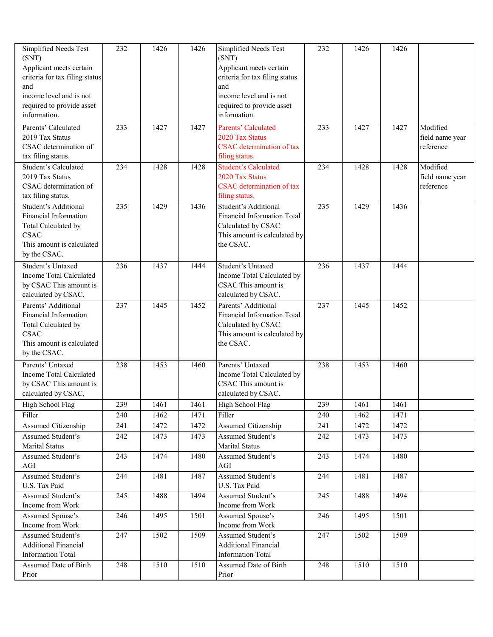| Simplified Needs Test<br>(SNT)<br>Applicant meets certain<br>criteria for tax filing status<br>and<br>income level and is not<br>required to provide asset<br>information. | 232 | 1426 | 1426 | Simplified Needs Test<br>(SNT)<br>Applicant meets certain<br>criteria for tax filing status<br>and<br>income level and is not<br>required to provide asset<br>information. | 232 | 1426 | 1426 |                                          |
|----------------------------------------------------------------------------------------------------------------------------------------------------------------------------|-----|------|------|----------------------------------------------------------------------------------------------------------------------------------------------------------------------------|-----|------|------|------------------------------------------|
| Parents' Calculated<br>2019 Tax Status<br>CSAC determination of<br>tax filing status.                                                                                      | 233 | 1427 | 1427 | Parents' Calculated<br>2020 Tax Status<br><b>CSAC</b> determination of tax<br>filing status.                                                                               | 233 | 1427 | 1427 | Modified<br>field name year<br>reference |
| Student's Calculated<br>2019 Tax Status<br>CSAC determination of<br>tax filing status.                                                                                     | 234 | 1428 | 1428 | <b>Student's Calculated</b><br>2020 Tax Status<br><b>CSAC</b> determination of tax<br>filing status.                                                                       | 234 | 1428 | 1428 | Modified<br>field name year<br>reference |
| Student's Additional<br>Financial Information<br>Total Calculated by<br><b>CSAC</b><br>This amount is calculated<br>by the CSAC.                                           | 235 | 1429 | 1436 | Student's Additional<br>Financial Information Total<br>Calculated by CSAC<br>This amount is calculated by<br>the CSAC.                                                     | 235 | 1429 | 1436 |                                          |
| Student's Untaxed<br>Income Total Calculated<br>by CSAC This amount is<br>calculated by CSAC.                                                                              | 236 | 1437 | 1444 | Student's Untaxed<br>Income Total Calculated by<br>CSAC This amount is<br>calculated by CSAC.                                                                              | 236 | 1437 | 1444 |                                          |
| Parents' Additional<br>Financial Information<br>Total Calculated by<br><b>CSAC</b><br>This amount is calculated<br>by the CSAC.                                            | 237 | 1445 | 1452 | Parents' Additional<br><b>Financial Information Total</b><br>Calculated by CSAC<br>This amount is calculated by<br>the CSAC.                                               | 237 | 1445 | 1452 |                                          |
| Parents' Untaxed<br>Income Total Calculated<br>by CSAC This amount is<br>calculated by CSAC.                                                                               | 238 | 1453 | 1460 | Parents' Untaxed<br>Income Total Calculated by<br>CSAC This amount is<br>calculated by CSAC.                                                                               | 238 | 1453 | 1460 |                                          |
| High School Flag                                                                                                                                                           | 239 | 1461 | 1461 | High School Flag                                                                                                                                                           | 239 | 1461 | 1461 |                                          |
| Filler                                                                                                                                                                     | 240 | 1462 | 1471 | Filler                                                                                                                                                                     | 240 | 1462 | 1471 |                                          |
| Assumed Citizenship                                                                                                                                                        | 241 | 1472 | 1472 | Assumed Citizenship                                                                                                                                                        | 241 | 1472 | 1472 |                                          |
| Assumed Student's<br>Marital Status                                                                                                                                        | 242 | 1473 | 1473 | Assumed Student's<br>Marital Status                                                                                                                                        | 242 | 1473 | 1473 |                                          |
| Assumed Student's<br>AGI                                                                                                                                                   | 243 | 1474 | 1480 | Assumed Student's<br>AGI                                                                                                                                                   | 243 | 1474 | 1480 |                                          |
| Assumed Student's<br>U.S. Tax Paid                                                                                                                                         | 244 | 1481 | 1487 | <b>Assumed Student's</b><br>U.S. Tax Paid                                                                                                                                  | 244 | 1481 | 1487 |                                          |
| Assumed Student's<br>Income from Work                                                                                                                                      | 245 | 1488 | 1494 | Assumed Student's<br>Income from Work                                                                                                                                      | 245 | 1488 | 1494 |                                          |
| Assumed Spouse's<br>Income from Work                                                                                                                                       | 246 | 1495 | 1501 | Assumed Spouse's<br>Income from Work                                                                                                                                       | 246 | 1495 | 1501 |                                          |
| Assumed Student's<br><b>Additional Financial</b><br><b>Information Total</b>                                                                                               | 247 | 1502 | 1509 | Assumed Student's<br><b>Additional Financial</b><br><b>Information Total</b>                                                                                               | 247 | 1502 | 1509 |                                          |
| Assumed Date of Birth<br>Prior                                                                                                                                             | 248 | 1510 | 1510 | Assumed Date of Birth<br>Prior                                                                                                                                             | 248 | 1510 | 1510 |                                          |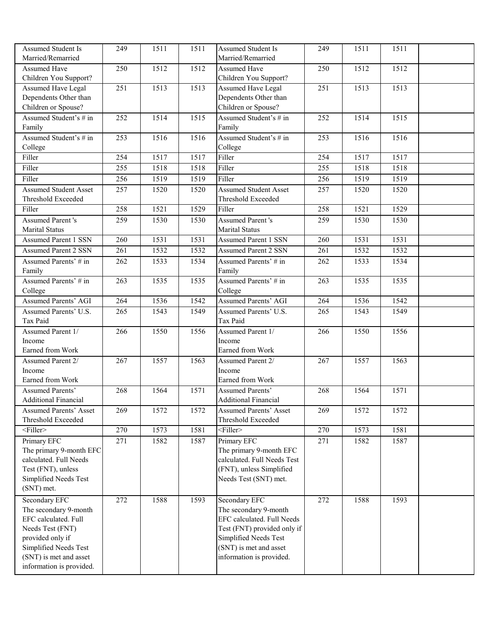| Assumed Student Is                           | 249 | 1511 | 1511 | Assumed Student Is                           | 249 | 1511 | 1511 |  |
|----------------------------------------------|-----|------|------|----------------------------------------------|-----|------|------|--|
| Married/Remarried                            |     |      |      | Married/Remarried                            |     |      |      |  |
| <b>Assumed Have</b><br>Children You Support? | 250 | 1512 | 1512 | <b>Assumed Have</b><br>Children You Support? | 250 | 1512 | 1512 |  |
| Assumed Have Legal                           | 251 | 1513 | 1513 | Assumed Have Legal                           | 251 | 1513 | 1513 |  |
| Dependents Other than                        |     |      |      | Dependents Other than                        |     |      |      |  |
| Children or Spouse?                          |     |      |      | Children or Spouse?                          |     |      |      |  |
| Assumed Student's # in                       | 252 | 1514 | 1515 | Assumed Student's # in                       | 252 | 1514 | 1515 |  |
| Family                                       |     |      |      | Family                                       |     |      |      |  |
| Assumed Student's # in                       | 253 | 1516 | 1516 | Assumed Student's # in                       | 253 | 1516 | 1516 |  |
| College                                      |     |      |      | College                                      |     |      |      |  |
| Filler                                       | 254 | 1517 | 1517 | Filler                                       | 254 | 1517 | 1517 |  |
| Filler                                       | 255 | 1518 | 1518 | Filler                                       | 255 | 1518 | 1518 |  |
| Filler                                       | 256 | 1519 | 1519 | Filler                                       | 256 | 1519 | 1519 |  |
| <b>Assumed Student Asset</b>                 | 257 | 1520 | 1520 | <b>Assumed Student Asset</b>                 | 257 | 1520 | 1520 |  |
| Threshold Exceeded                           |     |      |      | Threshold Exceeded                           |     |      |      |  |
| Filler                                       | 258 | 1521 | 1529 | Filler                                       | 258 | 1521 | 1529 |  |
| <b>Assumed Parent's</b>                      | 259 | 1530 | 1530 | <b>Assumed Parent's</b>                      | 259 | 1530 | 1530 |  |
| Marital Status                               |     |      |      | <b>Marital Status</b>                        |     |      |      |  |
| <b>Assumed Parent 1 SSN</b>                  | 260 | 1531 | 1531 | <b>Assumed Parent 1 SSN</b>                  | 260 | 1531 | 1531 |  |
| <b>Assumed Parent 2 SSN</b>                  | 261 | 1532 | 1532 | <b>Assumed Parent 2 SSN</b>                  | 261 | 1532 | 1532 |  |
| Assumed Parents' # in                        | 262 | 1533 | 1534 | Assumed Parents' # in                        | 262 | 1533 | 1534 |  |
| Family                                       |     |      |      | Family                                       |     |      |      |  |
| Assumed Parents' # in                        | 263 | 1535 | 1535 | Assumed Parents' # in                        | 263 | 1535 | 1535 |  |
| College                                      |     |      |      | College                                      |     |      |      |  |
| <b>Assumed Parents' AGI</b>                  | 264 | 1536 | 1542 | <b>Assumed Parents' AGI</b>                  | 264 | 1536 | 1542 |  |
| Assumed Parents' U.S.                        | 265 | 1543 | 1549 | Assumed Parents' U.S.                        | 265 | 1543 | 1549 |  |
| Tax Paid                                     |     |      |      | Tax Paid                                     |     |      |      |  |
| Assumed Parent 1/                            | 266 | 1550 | 1556 | Assumed Parent 1/                            | 266 | 1550 | 1556 |  |
| Income                                       |     |      |      | Income                                       |     |      |      |  |
| Earned from Work                             |     |      |      | Earned from Work                             |     |      |      |  |
| Assumed Parent 2/                            | 267 | 1557 | 1563 | Assumed Parent 2/                            | 267 | 1557 | 1563 |  |
| Income                                       |     |      |      | Income                                       |     |      |      |  |
| Earned from Work                             |     |      |      | Earned from Work                             |     |      |      |  |
| <b>Assumed Parents'</b>                      | 268 | 1564 | 1571 | <b>Assumed Parents'</b>                      | 268 | 1564 | 1571 |  |
| <b>Additional Financial</b>                  |     |      |      | <b>Additional Financial</b>                  |     |      |      |  |
| <b>Assumed Parents' Asset</b>                | 269 | 1572 | 1572 | <b>Assumed Parents' Asset</b>                | 269 | 1572 | 1572 |  |
| Threshold Exceeded                           |     |      |      | Threshold Exceeded                           |     |      |      |  |
| $<$ Filler>                                  | 270 | 1573 | 1581 | <filler></filler>                            | 270 | 1573 | 1581 |  |
| Primary EFC                                  | 271 | 1582 | 1587 | Primary EFC                                  | 271 | 1582 | 1587 |  |
| The primary 9-month EFC                      |     |      |      | The primary 9-month EFC                      |     |      |      |  |
| calculated. Full Needs                       |     |      |      | calculated. Full Needs Test                  |     |      |      |  |
| Test (FNT), unless                           |     |      |      | (FNT), unless Simplified                     |     |      |      |  |
| Simplified Needs Test                        |     |      |      | Needs Test (SNT) met.                        |     |      |      |  |
| (SNT) met.                                   |     |      |      |                                              |     |      |      |  |
| Secondary EFC                                | 272 | 1588 | 1593 | Secondary EFC                                | 272 | 1588 | 1593 |  |
| The secondary 9-month                        |     |      |      | The secondary 9-month                        |     |      |      |  |
| EFC calculated. Full                         |     |      |      | EFC calculated. Full Needs                   |     |      |      |  |
| Needs Test (FNT)                             |     |      |      | Test (FNT) provided only if                  |     |      |      |  |
| provided only if                             |     |      |      | Simplified Needs Test                        |     |      |      |  |
| Simplified Needs Test                        |     |      |      | (SNT) is met and asset                       |     |      |      |  |
| (SNT) is met and asset                       |     |      |      | information is provided.                     |     |      |      |  |
| information is provided.                     |     |      |      |                                              |     |      |      |  |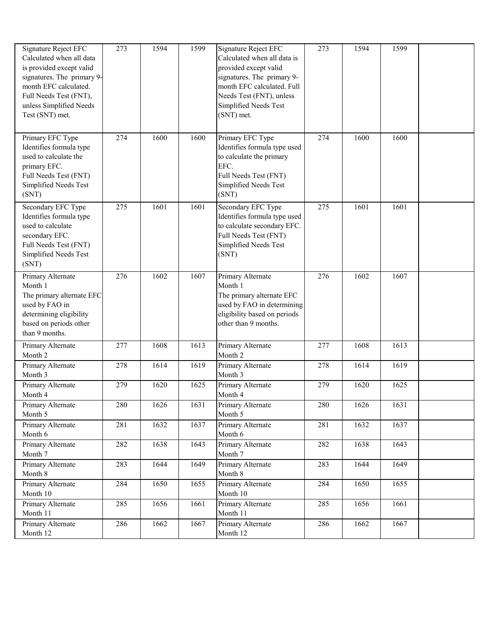| Signature Reject EFC<br>Calculated when all data<br>is provided except valid<br>signatures. The primary 9-<br>month EFC calculated.<br>Full Needs Test (FNT),<br>unless Simplified Needs<br>Test (SNT) met. | 273 | 1594 | 1599              | Signature Reject EFC<br>Calculated when all data is<br>provided except valid<br>signatures. The primary 9-<br>month EFC calculated. Full<br>Needs Test (FNT), unless<br>Simplified Needs Test<br>(SNT) met. | 273 | 1594 | 1599 |  |
|-------------------------------------------------------------------------------------------------------------------------------------------------------------------------------------------------------------|-----|------|-------------------|-------------------------------------------------------------------------------------------------------------------------------------------------------------------------------------------------------------|-----|------|------|--|
| Primary EFC Type<br>Identifies formula type<br>used to calculate the<br>primary EFC.<br>Full Needs Test (FNT)<br>Simplified Needs Test<br>(SNT)                                                             | 274 | 1600 | 1600              | Primary EFC Type<br>Identifies formula type used<br>to calculate the primary<br>EFC.<br>Full Needs Test (FNT)<br>Simplified Needs Test<br>(SNT)                                                             | 274 | 1600 | 1600 |  |
| Secondary EFC Type<br>Identifies formula type<br>used to calculate<br>secondary EFC.<br>Full Needs Test (FNT)<br>Simplified Needs Test<br>(SNT)                                                             | 275 | 1601 | 1601              | Secondary EFC Type<br>Identifies formula type used<br>to calculate secondary EFC.<br>Full Needs Test (FNT)<br>Simplified Needs Test<br>(SNT)                                                                | 275 | 1601 | 1601 |  |
| Primary Alternate<br>Month 1<br>The primary alternate EFC<br>used by FAO in<br>determining eligibility<br>based on periods other<br>than 9 months.                                                          | 276 | 1602 | 1607              | Primary Alternate<br>Month 1<br>The primary alternate EFC<br>used by FAO in determining<br>eligibility based on periods<br>other than 9 months.                                                             | 276 | 1602 | 1607 |  |
| Primary Alternate<br>Month 2                                                                                                                                                                                | 277 | 1608 | 1613              | Primary Alternate<br>Month 2                                                                                                                                                                                | 277 | 1608 | 1613 |  |
| Primary Alternate<br>Month 3                                                                                                                                                                                | 278 | 1614 | $\overline{1619}$ | Primary Alternate<br>Month 3                                                                                                                                                                                | 278 | 1614 | 1619 |  |
| Primary Alternate<br>Month 4                                                                                                                                                                                | 279 | 1620 | 1625              | Primary Alternate<br>Month 4                                                                                                                                                                                | 279 | 1620 | 1625 |  |
| Primary Alternate<br>Month 5                                                                                                                                                                                | 280 | 1626 | 1631              | Primary Alternate<br>Month 5                                                                                                                                                                                | 280 | 1626 | 1631 |  |
| Primary Alternate<br>Month 6                                                                                                                                                                                | 281 | 1632 | 1637              | Primary Alternate<br>Month 6                                                                                                                                                                                | 281 | 1632 | 1637 |  |
| Primary Alternate<br>Month 7                                                                                                                                                                                | 282 | 1638 | 1643              | Primary Alternate<br>Month 7                                                                                                                                                                                | 282 | 1638 | 1643 |  |
| Primary Alternate<br>Month 8                                                                                                                                                                                | 283 | 1644 | 1649              | Primary Alternate<br>Month 8                                                                                                                                                                                | 283 | 1644 | 1649 |  |
| Primary Alternate<br>Month 10                                                                                                                                                                               | 284 | 1650 | 1655              | Primary Alternate<br>Month 10                                                                                                                                                                               | 284 | 1650 | 1655 |  |
| Primary Alternate<br>Month 11                                                                                                                                                                               | 285 | 1656 | 1661              | Primary Alternate<br>Month 11                                                                                                                                                                               | 285 | 1656 | 1661 |  |
| Primary Alternate<br>Month 12                                                                                                                                                                               | 286 | 1662 | 1667              | Primary Alternate<br>Month 12                                                                                                                                                                               | 286 | 1662 | 1667 |  |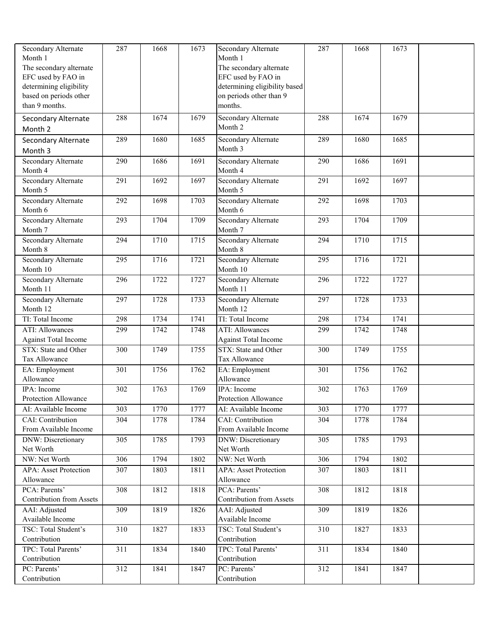| Secondary Alternate                           | 287 | 1668 | 1673 | <b>Secondary Alternate</b>                          | 287 | 1668 | 1673 |  |
|-----------------------------------------------|-----|------|------|-----------------------------------------------------|-----|------|------|--|
| Month 1                                       |     |      |      | Month 1                                             |     |      |      |  |
| The secondary alternate                       |     |      |      | The secondary alternate                             |     |      |      |  |
| EFC used by FAO in<br>determining eligibility |     |      |      | EFC used by FAO in<br>determining eligibility based |     |      |      |  |
| based on periods other                        |     |      |      | on periods other than 9                             |     |      |      |  |
| than 9 months.                                |     |      |      | months.                                             |     |      |      |  |
|                                               | 288 | 1674 | 1679 |                                                     | 288 | 1674 | 1679 |  |
| Secondary Alternate<br>Month 2                |     |      |      | Secondary Alternate<br>Month 2                      |     |      |      |  |
| Secondary Alternate                           | 289 | 1680 | 1685 | <b>Secondary Alternate</b>                          | 289 | 1680 | 1685 |  |
| Month 3                                       |     |      |      | Month 3                                             |     |      |      |  |
| Secondary Alternate                           | 290 | 1686 | 1691 | Secondary Alternate                                 | 290 | 1686 | 1691 |  |
| Month 4                                       |     |      |      | Month 4                                             |     |      |      |  |
| Secondary Alternate                           | 291 | 1692 | 1697 | Secondary Alternate                                 | 291 | 1692 | 1697 |  |
| Month 5                                       |     |      |      | Month 5                                             |     |      |      |  |
| Secondary Alternate                           | 292 | 1698 | 1703 | <b>Secondary Alternate</b>                          | 292 | 1698 | 1703 |  |
| Month 6                                       |     |      |      | Month 6                                             |     |      |      |  |
| <b>Secondary Alternate</b>                    | 293 | 1704 | 1709 | Secondary Alternate                                 | 293 | 1704 | 1709 |  |
| Month 7                                       |     |      |      | Month 7                                             |     |      |      |  |
| <b>Secondary Alternate</b>                    | 294 | 1710 | 1715 | <b>Secondary Alternate</b>                          | 294 | 1710 | 1715 |  |
| Month 8                                       |     |      |      | Month 8                                             |     |      |      |  |
| Secondary Alternate<br>Month 10               | 295 | 1716 | 1721 | <b>Secondary Alternate</b><br>Month 10              | 295 | 1716 | 1721 |  |
| Secondary Alternate                           | 296 | 1722 | 1727 | Secondary Alternate                                 | 296 | 1722 | 1727 |  |
| Month 11                                      |     |      |      | Month 11                                            |     |      |      |  |
| Secondary Alternate                           | 297 | 1728 | 1733 | <b>Secondary Alternate</b>                          | 297 | 1728 | 1733 |  |
| Month 12                                      |     |      |      | Month 12                                            |     |      |      |  |
| TI: Total Income                              | 298 | 1734 | 1741 | TI: Total Income                                    | 298 | 1734 | 1741 |  |
| <b>ATI: Allowances</b>                        | 299 | 1742 | 1748 | <b>ATI: Allowances</b>                              | 299 | 1742 | 1748 |  |
| <b>Against Total Income</b>                   |     |      |      | <b>Against Total Income</b>                         |     |      |      |  |
| STX: State and Other                          | 300 | 1749 | 1755 | STX: State and Other                                | 300 | 1749 | 1755 |  |
| Tax Allowance                                 |     |      |      | Tax Allowance                                       |     |      |      |  |
| EA: Employment                                | 301 | 1756 | 1762 | EA: Employment                                      | 301 | 1756 | 1762 |  |
| Allowance                                     |     |      |      | Allowance                                           |     |      |      |  |
| IPA: Income                                   | 302 | 1763 | 1769 | IPA: Income                                         | 302 | 1763 | 1769 |  |
| Protection Allowance                          |     |      |      | Protection Allowance                                |     |      |      |  |
| AI: Available Income                          | 303 | 1770 | 1777 | AI: Available Income                                | 303 | 1770 | 1777 |  |
| CAI: Contribution                             | 304 | 1778 | 1784 | CAI: Contribution                                   | 304 | 1778 | 1784 |  |
| From Available Income                         |     |      |      | From Available Income                               |     |      |      |  |
| <b>DNW: Discretionary</b><br>Net Worth        | 305 | 1785 | 1793 | <b>DNW: Discretionary</b><br>Net Worth              | 305 | 1785 | 1793 |  |
| NW: Net Worth                                 | 306 | 1794 | 1802 | NW: Net Worth                                       | 306 | 1794 | 1802 |  |
| <b>APA: Asset Protection</b>                  | 307 | 1803 | 1811 | <b>APA: Asset Protection</b>                        | 307 | 1803 | 1811 |  |
| Allowance                                     |     |      |      |                                                     |     |      |      |  |
| PCA: Parents'                                 |     |      |      |                                                     |     |      |      |  |
|                                               |     |      |      | Allowance                                           |     |      |      |  |
| <b>Contribution from Assets</b>               | 308 | 1812 | 1818 | PCA: Parents'<br><b>Contribution from Assets</b>    | 308 | 1812 | 1818 |  |
| AAI: Adjusted                                 | 309 | 1819 | 1826 | AAI: Adjusted                                       | 309 | 1819 | 1826 |  |
| Available Income                              |     |      |      | Available Income                                    |     |      |      |  |
| TSC: Total Student's                          | 310 | 1827 | 1833 | TSC: Total Student's                                | 310 | 1827 | 1833 |  |
| Contribution                                  |     |      |      | Contribution                                        |     |      |      |  |
| TPC: Total Parents'                           | 311 | 1834 | 1840 | TPC: Total Parents'                                 | 311 | 1834 | 1840 |  |
| Contribution                                  |     |      |      | Contribution                                        |     |      |      |  |
| PC: Parents'<br>Contribution                  | 312 | 1841 | 1847 | PC: Parents'<br>Contribution                        | 312 | 1841 | 1847 |  |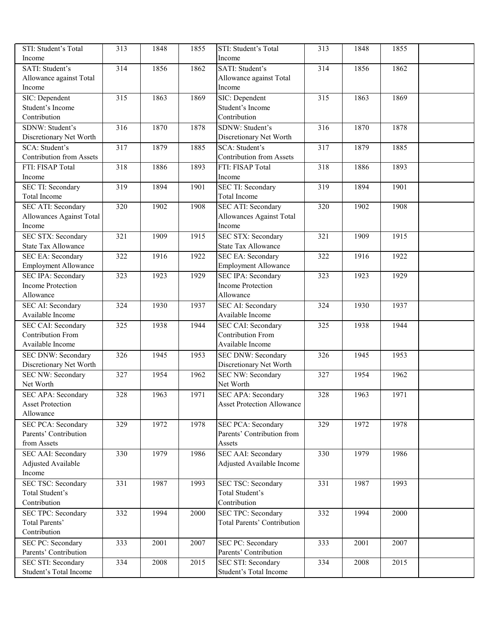| STI: Student's Total                                  | 313              | 1848 | 1855 | STI: Student's Total                                  | 313 | 1848 | 1855 |  |
|-------------------------------------------------------|------------------|------|------|-------------------------------------------------------|-----|------|------|--|
| Income                                                |                  |      |      | Income                                                |     |      |      |  |
| SATI: Student's                                       | $\overline{314}$ | 1856 | 1862 | SATI: Student's                                       | 314 | 1856 | 1862 |  |
| Allowance against Total                               |                  |      |      | Allowance against Total                               |     |      |      |  |
| Income                                                |                  |      |      | Income                                                |     |      |      |  |
| SIC: Dependent                                        | 315              | 1863 | 1869 | SIC: Dependent                                        | 315 | 1863 | 1869 |  |
| Student's Income                                      |                  |      |      | Student's Income                                      |     |      |      |  |
| Contribution                                          |                  |      |      | Contribution                                          |     |      |      |  |
| SDNW: Student's                                       | 316              | 1870 | 1878 | SDNW: Student's                                       | 316 | 1870 | 1878 |  |
| Discretionary Net Worth                               |                  |      |      | Discretionary Net Worth                               |     |      |      |  |
| SCA: Student's                                        | 317              | 1879 | 1885 | SCA: Student's                                        | 317 | 1879 | 1885 |  |
| <b>Contribution from Assets</b>                       |                  |      |      | <b>Contribution from Assets</b>                       |     |      |      |  |
| FTI: FISAP Total                                      | 318              | 1886 | 1893 | FTI: FISAP Total                                      | 318 | 1886 | 1893 |  |
| Income                                                |                  |      |      | Income                                                |     |      |      |  |
| <b>SEC TI: Secondary</b>                              | 319              | 1894 | 1901 | <b>SEC TI: Secondary</b>                              | 319 | 1894 | 1901 |  |
| Total Income                                          |                  |      |      | <b>Total Income</b>                                   |     |      |      |  |
| <b>SEC ATI: Secondary</b>                             | 320              | 1902 | 1908 | <b>SEC ATI: Secondary</b>                             | 320 | 1902 | 1908 |  |
| Allowances Against Total                              |                  |      |      | Allowances Against Total                              |     |      |      |  |
| Income                                                |                  |      |      | Income                                                |     |      |      |  |
| <b>SEC STX: Secondary</b>                             | 321              | 1909 | 1915 | <b>SEC STX: Secondary</b>                             | 321 | 1909 | 1915 |  |
| <b>State Tax Allowance</b>                            |                  |      |      | <b>State Tax Allowance</b>                            |     |      |      |  |
| <b>SEC EA: Secondary</b>                              | 322              | 1916 | 1922 | <b>SEC EA: Secondary</b>                              | 322 | 1916 | 1922 |  |
| <b>Employment Allowance</b>                           |                  |      |      | <b>Employment Allowance</b>                           |     |      |      |  |
| <b>SEC IPA: Secondary</b><br><b>Income Protection</b> | 323              | 1923 | 1929 | <b>SEC IPA: Secondary</b><br><b>Income Protection</b> | 323 | 1923 | 1929 |  |
| Allowance                                             |                  |      |      | Allowance                                             |     |      |      |  |
| SEC AI: Secondary                                     |                  | 1930 |      | <b>SEC AI: Secondary</b>                              |     |      |      |  |
| Available Income                                      | 324              |      | 1937 | Available Income                                      | 324 | 1930 | 1937 |  |
| SEC CAI: Secondary                                    | 325              | 1938 | 1944 | <b>SEC CAI: Secondary</b>                             | 325 | 1938 | 1944 |  |
| <b>Contribution From</b>                              |                  |      |      | <b>Contribution From</b>                              |     |      |      |  |
| Available Income                                      |                  |      |      | Available Income                                      |     |      |      |  |
| SEC DNW: Secondary                                    | 326              | 1945 | 1953 | <b>SEC DNW: Secondary</b>                             | 326 | 1945 | 1953 |  |
| Discretionary Net Worth                               |                  |      |      | Discretionary Net Worth                               |     |      |      |  |
| <b>SEC NW: Secondary</b>                              | $\overline{327}$ | 1954 | 1962 | <b>SEC NW: Secondary</b>                              | 327 | 1954 | 1962 |  |
| Net Worth                                             |                  |      |      | Net Worth                                             |     |      |      |  |
| SEC APA: Secondary                                    | 328              | 1963 | 1971 | <b>SEC APA: Secondary</b>                             | 328 | 1963 | 1971 |  |
| <b>Asset Protection</b>                               |                  |      |      | <b>Asset Protection Allowance</b>                     |     |      |      |  |
| Allowance                                             |                  |      |      |                                                       |     |      |      |  |
| <b>SEC PCA: Secondary</b>                             | 329              | 1972 | 1978 | <b>SEC PCA: Secondary</b>                             | 329 | 1972 | 1978 |  |
| Parents' Contribution                                 |                  |      |      | Parents' Contribution from                            |     |      |      |  |
| from Assets                                           |                  |      |      | Assets                                                |     |      |      |  |
| <b>SEC AAI: Secondary</b>                             | $\overline{330}$ | 1979 | 1986 | <b>SEC AAI: Secondary</b>                             | 330 | 1979 | 1986 |  |
| Adjusted Available                                    |                  |      |      | Adjusted Available Income                             |     |      |      |  |
| Income                                                |                  |      |      |                                                       |     |      |      |  |
| <b>SEC TSC: Secondary</b>                             | 331              | 1987 | 1993 | <b>SEC TSC: Secondary</b>                             | 331 | 1987 | 1993 |  |
| Total Student's                                       |                  |      |      | Total Student's                                       |     |      |      |  |
| Contribution                                          |                  |      |      | Contribution                                          |     |      |      |  |
| <b>SEC TPC: Secondary</b>                             | 332              | 1994 | 2000 | <b>SEC TPC: Secondary</b>                             | 332 | 1994 | 2000 |  |
| Total Parents'                                        |                  |      |      | <b>Total Parents' Contribution</b>                    |     |      |      |  |
| Contribution                                          |                  |      |      |                                                       |     |      |      |  |
| <b>SEC PC: Secondary</b>                              | 333              | 2001 | 2007 | <b>SEC PC: Secondary</b>                              | 333 | 2001 | 2007 |  |
| Parents' Contribution                                 |                  |      |      | Parents' Contribution                                 |     |      |      |  |
| SEC STI: Secondary                                    | 334              | 2008 | 2015 | <b>SEC STI: Secondary</b>                             | 334 | 2008 | 2015 |  |
| Student's Total Income                                |                  |      |      | Student's Total Income                                |     |      |      |  |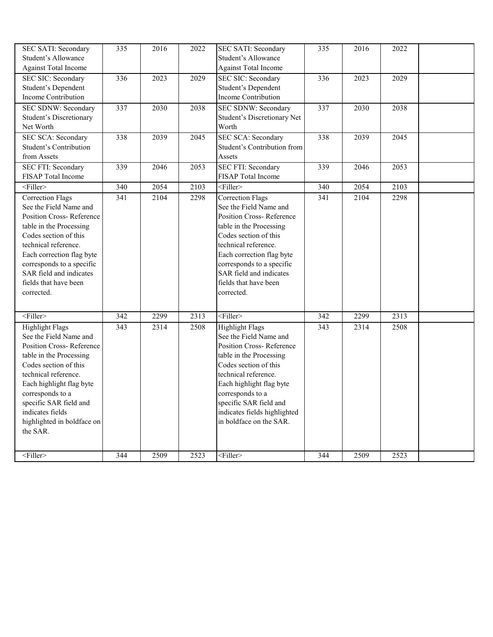| SEC SATI: Secondary<br>Student's Allowance<br><b>Against Total Income</b>                                                                                                                                                                                                                                       | 335              | 2016              | 2022              | <b>SEC SATI: Secondary</b><br>Student's Allowance<br><b>Against Total Income</b>                                                                                                                                                                                                                                            | 335                     | 2016              | 2022         |  |
|-----------------------------------------------------------------------------------------------------------------------------------------------------------------------------------------------------------------------------------------------------------------------------------------------------------------|------------------|-------------------|-------------------|-----------------------------------------------------------------------------------------------------------------------------------------------------------------------------------------------------------------------------------------------------------------------------------------------------------------------------|-------------------------|-------------------|--------------|--|
| <b>SEC SIC: Secondary</b><br>Student's Dependent<br>Income Contribution                                                                                                                                                                                                                                         | 336              | $\overline{2023}$ | $\overline{2029}$ | <b>SEC SIC: Secondary</b><br>Student's Dependent<br>Income Contribution                                                                                                                                                                                                                                                     | 336                     | $\overline{2023}$ | 2029         |  |
| SEC SDNW: Secondary<br><b>Student's Discretionary</b><br>Net Worth                                                                                                                                                                                                                                              | 337              | 2030              | 2038              | <b>SEC SDNW: Secondary</b><br>Student's Discretionary Net<br>Worth                                                                                                                                                                                                                                                          | 337                     | 2030              | 2038         |  |
| <b>SEC SCA: Secondary</b><br>Student's Contribution<br>from Assets                                                                                                                                                                                                                                              | 338              | 2039              | 2045              | <b>SEC SCA: Secondary</b><br>Student's Contribution from<br>Assets                                                                                                                                                                                                                                                          | 338                     | 2039              | 2045         |  |
| SEC FTI: Secondary<br>FISAP Total Income                                                                                                                                                                                                                                                                        | 339              | 2046              | 2053              | <b>SEC FTI: Secondary</b><br>FISAP Total Income                                                                                                                                                                                                                                                                             | 339                     | 2046              | 2053         |  |
| $<$ Filler $>$                                                                                                                                                                                                                                                                                                  | 340              | 2054              | 2103              | $\overline{\text{Filler}}$                                                                                                                                                                                                                                                                                                  | 340                     | 2054              | 2103         |  |
| <b>Correction Flags</b><br>See the Field Name and<br>Position Cross-Reference<br>table in the Processing<br>Codes section of this<br>technical reference.<br>Each correction flag byte<br>corresponds to a specific<br>SAR field and indicates<br>fields that have been<br>corrected.                           | $\overline{341}$ | 2104              | 2298              | <b>Correction Flags</b><br>See the Field Name and<br>Position Cross-Reference<br>table in the Processing<br>Codes section of this<br>technical reference.<br>Each correction flag byte<br>corresponds to a specific<br>SAR field and indicates<br>fields that have been<br>corrected.                                       | 341                     | 2104              | 2298         |  |
| $<$ Filler><br><b>Highlight Flags</b><br>See the Field Name and<br>Position Cross-Reference<br>table in the Processing<br>Codes section of this<br>technical reference.<br>Each highlight flag byte<br>corresponds to a<br>specific SAR field and<br>indicates fields<br>highlighted in boldface on<br>the SAR. | 342<br>343       | 2299<br>2314      | 2313<br>2508      | $\overline{\text{Filler}}$<br><b>Highlight Flags</b><br>See the Field Name and<br>Position Cross-Reference<br>table in the Processing<br>Codes section of this<br>technical reference.<br>Each highlight flag byte<br>corresponds to a<br>specific SAR field and<br>indicates fields highlighted<br>in boldface on the SAR. | $\overline{342}$<br>343 | 2299<br>2314      | 2313<br>2508 |  |
| $\overline{\text{Filler}}$                                                                                                                                                                                                                                                                                      | 344              | 2509              | 2523              | $\overline{\text{Filler}}$                                                                                                                                                                                                                                                                                                  | 344                     | 2509              | 2523         |  |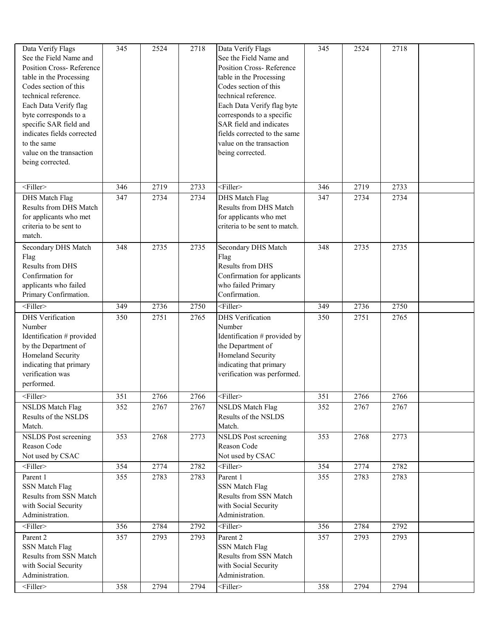| Data Verify Flags<br>See the Field Name and<br>Position Cross-Reference<br>table in the Processing<br>Codes section of this<br>technical reference.<br>Each Data Verify flag<br>byte corresponds to a<br>specific SAR field and<br>indicates fields corrected<br>to the same<br>value on the transaction<br>being corrected. | 345              | 2524 | 2718 | Data Verify Flags<br>See the Field Name and<br>Position Cross-Reference<br>table in the Processing<br>Codes section of this<br>technical reference.<br>Each Data Verify flag byte<br>corresponds to a specific<br>SAR field and indicates<br>fields corrected to the same<br>value on the transaction<br>being corrected. | 345              | 2524 | 2718 |  |
|------------------------------------------------------------------------------------------------------------------------------------------------------------------------------------------------------------------------------------------------------------------------------------------------------------------------------|------------------|------|------|---------------------------------------------------------------------------------------------------------------------------------------------------------------------------------------------------------------------------------------------------------------------------------------------------------------------------|------------------|------|------|--|
| <filler></filler>                                                                                                                                                                                                                                                                                                            | 346              | 2719 | 2733 | $<$ Filler>                                                                                                                                                                                                                                                                                                               | 346              | 2719 | 2733 |  |
| <b>DHS</b> Match Flag<br>Results from DHS Match<br>for applicants who met<br>criteria to be sent to<br>match.                                                                                                                                                                                                                | 347              | 2734 | 2734 | <b>DHS</b> Match Flag<br>Results from DHS Match<br>for applicants who met<br>criteria to be sent to match.                                                                                                                                                                                                                | 347              | 2734 | 2734 |  |
| Secondary DHS Match<br>Flag<br><b>Results from DHS</b><br>Confirmation for<br>applicants who failed<br>Primary Confirmation.                                                                                                                                                                                                 | 348              | 2735 | 2735 | Secondary DHS Match<br>Flag<br><b>Results from DHS</b><br>Confirmation for applicants<br>who failed Primary<br>Confirmation.                                                                                                                                                                                              | 348              | 2735 | 2735 |  |
| <filler></filler>                                                                                                                                                                                                                                                                                                            | 349              | 2736 | 2750 | $<$ Filler>                                                                                                                                                                                                                                                                                                               | 349              | 2736 | 2750 |  |
| <b>DHS</b> Verification<br>Number<br>Identification # provided<br>by the Department of<br>Homeland Security<br>indicating that primary<br>verification was<br>performed.                                                                                                                                                     | 350              | 2751 | 2765 | <b>DHS</b> Verification<br>Number<br>Identification # provided by<br>the Department of<br>Homeland Security<br>indicating that primary<br>verification was performed.                                                                                                                                                     | 350              | 2751 | 2765 |  |
| <filler></filler>                                                                                                                                                                                                                                                                                                            | 351              | 2766 | 2766 | <filler></filler>                                                                                                                                                                                                                                                                                                         | 351              | 2766 | 2766 |  |
| <b>NSLDS</b> Match Flag<br>Results of the NSLDS<br>Match.                                                                                                                                                                                                                                                                    | $\overline{352}$ | 2767 | 2767 | <b>NSLDS</b> Match Flag<br>Results of the NSLDS<br>Match.                                                                                                                                                                                                                                                                 | $\overline{352}$ | 2767 | 2767 |  |
| <b>NSLDS</b> Post screening<br>Reason Code<br>Not used by CSAC                                                                                                                                                                                                                                                               | 353              | 2768 | 2773 | <b>NSLDS</b> Post screening<br>Reason Code<br>Not used by CSAC                                                                                                                                                                                                                                                            | 353              | 2768 | 2773 |  |
| $<$ Filler>                                                                                                                                                                                                                                                                                                                  | 354              | 2774 | 2782 | $<$ Filler $>$                                                                                                                                                                                                                                                                                                            | 354              | 2774 | 2782 |  |
| Parent 1<br><b>SSN Match Flag</b><br>Results from SSN Match<br>with Social Security<br>Administration.                                                                                                                                                                                                                       | 355              | 2783 | 2783 | Parent 1<br><b>SSN Match Flag</b><br>Results from SSN Match<br>with Social Security<br>Administration.                                                                                                                                                                                                                    | 355              | 2783 | 2783 |  |
| <filler></filler>                                                                                                                                                                                                                                                                                                            | 356              | 2784 | 2792 | $<$ Filler $>$                                                                                                                                                                                                                                                                                                            | 356              | 2784 | 2792 |  |
| Parent 2<br><b>SSN Match Flag</b><br>Results from SSN Match<br>with Social Security<br>Administration.                                                                                                                                                                                                                       | 357              | 2793 | 2793 | Parent 2<br><b>SSN Match Flag</b><br>Results from SSN Match<br>with Social Security<br>Administration.                                                                                                                                                                                                                    | 357              | 2793 | 2793 |  |
| <filler></filler>                                                                                                                                                                                                                                                                                                            | 358              | 2794 | 2794 | $<$ Filler>                                                                                                                                                                                                                                                                                                               | 358              | 2794 | 2794 |  |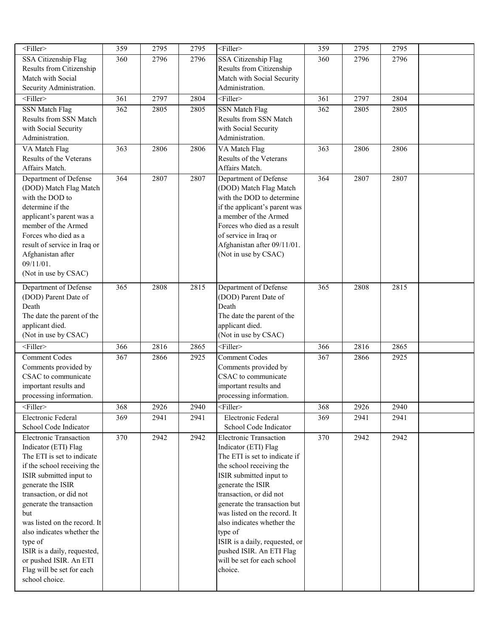| $\overline{\leq}$ Filler>                     | 359              | 2795 | 2795 | <filler></filler>                             | 359 | 2795 | 2795 |  |
|-----------------------------------------------|------------------|------|------|-----------------------------------------------|-----|------|------|--|
| SSA Citizenship Flag                          | 360              | 2796 | 2796 | <b>SSA Citizenship Flag</b>                   | 360 | 2796 | 2796 |  |
| Results from Citizenship                      |                  |      |      | Results from Citizenship                      |     |      |      |  |
| Match with Social                             |                  |      |      | Match with Social Security                    |     |      |      |  |
| Security Administration.                      |                  |      |      | Administration.                               |     |      |      |  |
| $<$ Filler>                                   | 361              | 2797 | 2804 | <filler></filler>                             | 361 | 2797 | 2804 |  |
| <b>SSN Match Flag</b>                         | 362              | 2805 | 2805 | <b>SSN Match Flag</b>                         | 362 | 2805 | 2805 |  |
| Results from SSN Match                        |                  |      |      | Results from SSN Match                        |     |      |      |  |
| with Social Security                          |                  |      |      | with Social Security                          |     |      |      |  |
| Administration.                               |                  |      |      | Administration.                               |     |      |      |  |
| VA Match Flag<br>Results of the Veterans      | 363              | 2806 | 2806 | VA Match Flag<br>Results of the Veterans      | 363 | 2806 | 2806 |  |
| Affairs Match.                                |                  |      |      | Affairs Match.                                |     |      |      |  |
| Department of Defense                         | 364              | 2807 | 2807 | Department of Defense                         | 364 | 2807 | 2807 |  |
| (DOD) Match Flag Match                        |                  |      |      | (DOD) Match Flag Match                        |     |      |      |  |
| with the DOD to                               |                  |      |      | with the DOD to determine                     |     |      |      |  |
| determine if the                              |                  |      |      | if the applicant's parent was                 |     |      |      |  |
| applicant's parent was a                      |                  |      |      | a member of the Armed                         |     |      |      |  |
| member of the Armed                           |                  |      |      | Forces who died as a result                   |     |      |      |  |
| Forces who died as a                          |                  |      |      | of service in Iraq or                         |     |      |      |  |
| result of service in Iraq or                  |                  |      |      | Afghanistan after 09/11/01.                   |     |      |      |  |
| Afghanistan after                             |                  |      |      | (Not in use by CSAC)                          |     |      |      |  |
| $09/11/01$ .<br>(Not in use by CSAC)          |                  |      |      |                                               |     |      |      |  |
|                                               |                  |      |      |                                               |     |      |      |  |
| Department of Defense                         | 365              | 2808 | 2815 | Department of Defense                         | 365 | 2808 | 2815 |  |
| (DOD) Parent Date of                          |                  |      |      | (DOD) Parent Date of                          |     |      |      |  |
| Death                                         |                  |      |      | Death                                         |     |      |      |  |
| The date the parent of the<br>applicant died. |                  |      |      | The date the parent of the<br>applicant died. |     |      |      |  |
| (Not in use by CSAC)                          |                  |      |      | (Not in use by CSAC)                          |     |      |      |  |
| $\overline{\text{Filler}}$                    | 366              | 2816 | 2865 | $\overline{\text{Filler}}$                    | 366 | 2816 | 2865 |  |
| <b>Comment Codes</b>                          | 367              | 2866 | 2925 | <b>Comment Codes</b>                          | 367 | 2866 | 2925 |  |
| Comments provided by                          |                  |      |      | Comments provided by                          |     |      |      |  |
| CSAC to communicate                           |                  |      |      | CSAC to communicate                           |     |      |      |  |
| important results and                         |                  |      |      | important results and                         |     |      |      |  |
| processing information.                       |                  |      |      | processing information.                       |     |      |      |  |
| <filler></filler>                             | 368              | 2926 | 2940 | <filler></filler>                             | 368 | 2926 | 2940 |  |
| Electronic Federal                            | $\overline{369}$ | 2941 | 2941 | Electronic Federal                            | 369 | 2941 | 2941 |  |
| School Code Indicator                         |                  |      |      | School Code Indicator                         |     |      |      |  |
| <b>Electronic Transaction</b>                 | 370              | 2942 | 2942 | <b>Electronic Transaction</b>                 | 370 | 2942 | 2942 |  |
| Indicator (ETI) Flag                          |                  |      |      | Indicator (ETI) Flag                          |     |      |      |  |
| The ETI is set to indicate                    |                  |      |      | The ETI is set to indicate if                 |     |      |      |  |
| if the school receiving the                   |                  |      |      | the school receiving the                      |     |      |      |  |
| ISIR submitted input to                       |                  |      |      | ISIR submitted input to                       |     |      |      |  |
| generate the ISIR<br>transaction, or did not  |                  |      |      | generate the ISIR<br>transaction, or did not  |     |      |      |  |
| generate the transaction                      |                  |      |      | generate the transaction but                  |     |      |      |  |
| but                                           |                  |      |      | was listed on the record. It                  |     |      |      |  |
| was listed on the record. It                  |                  |      |      | also indicates whether the                    |     |      |      |  |
| also indicates whether the                    |                  |      |      | type of                                       |     |      |      |  |
| type of                                       |                  |      |      | ISIR is a daily, requested, or                |     |      |      |  |
| ISIR is a daily, requested,                   |                  |      |      | pushed ISIR. An ETI Flag                      |     |      |      |  |
| or pushed ISIR. An ETI                        |                  |      |      | will be set for each school                   |     |      |      |  |
| Flag will be set for each<br>school choice.   |                  |      |      | choice.                                       |     |      |      |  |
|                                               |                  |      |      |                                               |     |      |      |  |